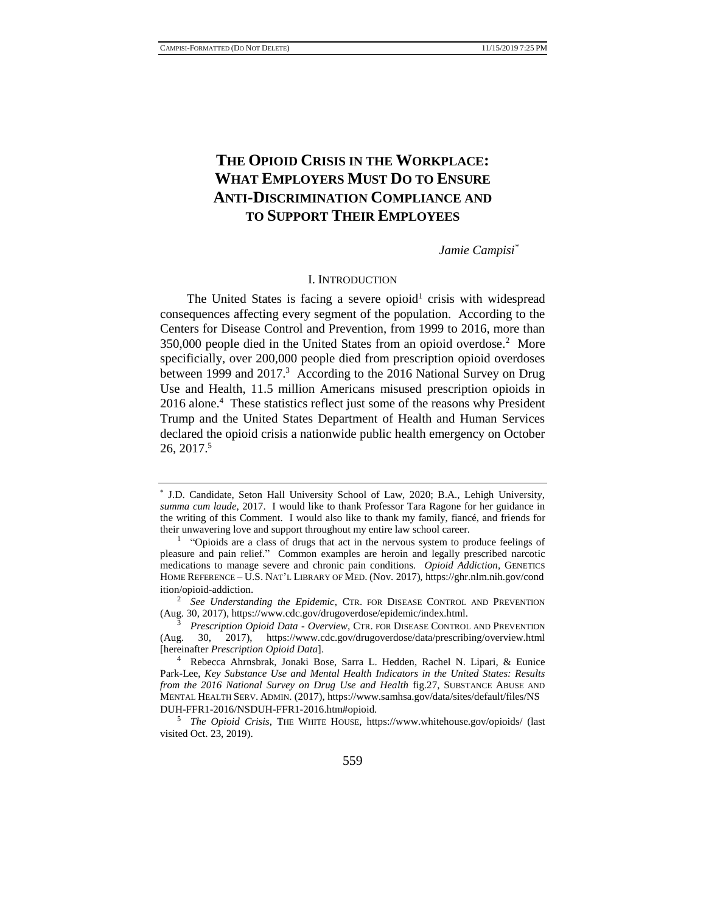# **THE OPIOID CRISIS IN THE WORKPLACE: WHAT EMPLOYERS MUST DO TO ENSURE ANTI-DISCRIMINATION COMPLIANCE AND TO SUPPORT THEIR EMPLOYEES**

*Jamie Campisi\**

### <span id="page-0-0"></span>I. INTRODUCTION

The United States is facing a severe opioid<sup>1</sup> crisis with widespread consequences affecting every segment of the population. According to the Centers for Disease Control and Prevention, from 1999 to 2016, more than 350,000 people died in the United States from an opioid overdose.<sup>2</sup> More specificially, over 200,000 people died from prescription opioid overdoses between 1999 and 2017.<sup>3</sup> According to the 2016 National Survey on Drug Use and Health, 11.5 million Americans misused prescription opioids in 2016 alone.<sup>4</sup> These statistics reflect just some of the reasons why President Trump and the United States Department of Health and Human Services declared the opioid crisis a nationwide public health emergency on October 26, 2017.<sup>5</sup>

<sup>2</sup> See Understanding the Epidemic, CTR. FOR DISEASE CONTROL AND PREVENTION (Aug. 30, 2017), https://www.cdc.gov/drugoverdose/epidemic/index.html.

<sup>\*</sup> J.D. Candidate, Seton Hall University School of Law, 2020; B.A., Lehigh University, *summa cum laude*, 2017. I would like to thank Professor Tara Ragone for her guidance in the writing of this Comment. I would also like to thank my family, fiancé, and friends for their unwavering love and support throughout my entire law school career.

 $<sup>1</sup>$  "Opioids are a class of drugs that act in the nervous system to produce feelings of</sup> pleasure and pain relief." Common examples are heroin and legally prescribed narcotic medications to manage severe and chronic pain conditions. *Opioid Addiction*, GENETICS HOME REFERENCE – U.S. NAT'L LIBRARY OF MED. (Nov. 2017), https://ghr.nlm.nih.gov/cond ition/opioid-addiction.

<sup>3</sup> *Prescription Opioid Data - Overview*, CTR. FOR DISEASE CONTROL AND PREVENTION (Aug. 30, 2017), https://www.cdc.gov/drugoverdose/data/prescribing/overview.html [hereinafter *Prescription Opioid Data*].

<sup>4</sup> Rebecca Ahrnsbrak, Jonaki Bose, Sarra L. Hedden, Rachel N. Lipari, & Eunice Park-Lee, *Key Substance Use and Mental Health Indicators in the United States: Results from the 2016 National Survey on Drug Use and Health* fig.27, SUBSTANCE ABUSE AND MENTAL HEALTH SERV. ADMIN. (2017), https://www.samhsa.gov/data/sites/default/files/NS DUH-FFR1-2016/NSDUH-FFR1-2016.htm#opioid.

<sup>5</sup> *The Opioid Crisis*, THE WHITE HOUSE, https://www.whitehouse.gov/opioids/ (last visited Oct. 23, 2019).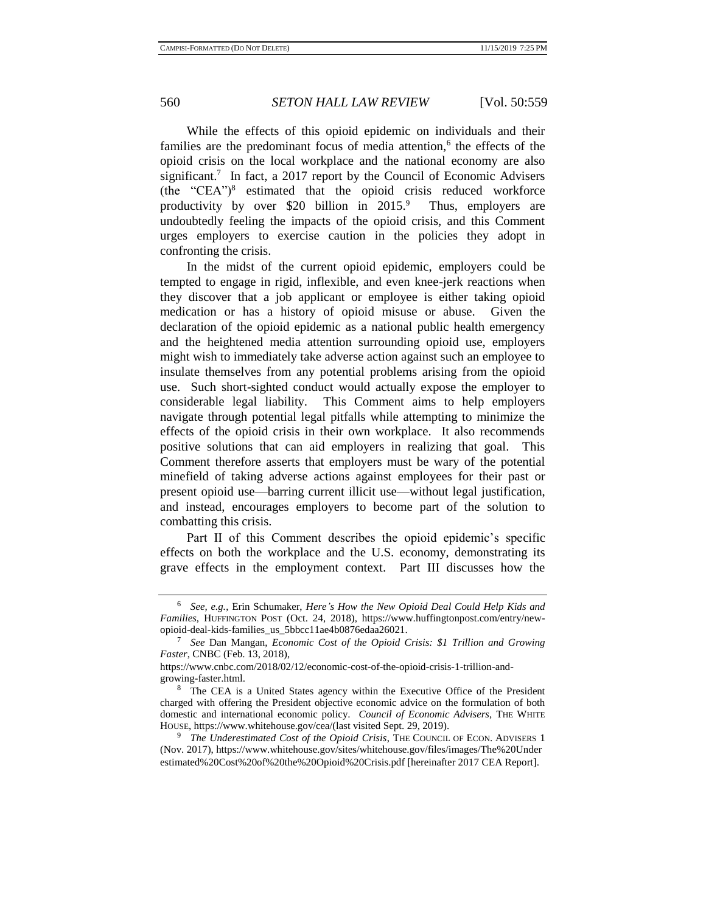<span id="page-1-0"></span>

While the effects of this opioid epidemic on individuals and their families are the predominant focus of media attention,<sup>6</sup> the effects of the opioid crisis on the local workplace and the national economy are also significant.<sup>7</sup> In fact, a 2017 report by the Council of Economic Advisers  $(the "CEA")<sup>8</sup> estimated that the opioid crisis reduced workforce$ productivity by over \$20 billion in  $2015$ .<sup>9</sup> Thus, employers are undoubtedly feeling the impacts of the opioid crisis, and this Comment urges employers to exercise caution in the policies they adopt in confronting the crisis.

<span id="page-1-1"></span>In the midst of the current opioid epidemic, employers could be tempted to engage in rigid, inflexible, and even knee-jerk reactions when they discover that a job applicant or employee is either taking opioid medication or has a history of opioid misuse or abuse. Given the declaration of the opioid epidemic as a national public health emergency and the heightened media attention surrounding opioid use, employers might wish to immediately take adverse action against such an employee to insulate themselves from any potential problems arising from the opioid use. Such short-sighted conduct would actually expose the employer to considerable legal liability. This Comment aims to help employers navigate through potential legal pitfalls while attempting to minimize the effects of the opioid crisis in their own workplace. It also recommends positive solutions that can aid employers in realizing that goal. This Comment therefore asserts that employers must be wary of the potential minefield of taking adverse actions against employees for their past or present opioid use—barring current illicit use—without legal justification, and instead, encourages employers to become part of the solution to combatting this crisis.

Part II of this Comment describes the opioid epidemic's specific effects on both the workplace and the U.S. economy, demonstrating its grave effects in the employment context. Part III discusses how the

<sup>6</sup> *See, e.g.*, Erin Schumaker, *Here's How the New Opioid Deal Could Help Kids and Families*, HUFFINGTON POST (Oct. 24, 2018), https://www.huffingtonpost.com/entry/newopioid-deal-kids-families\_us\_5bbcc11ae4b0876edaa26021.

<sup>7</sup> *See* Dan Mangan, *Economic Cost of the Opioid Crisis: \$1 Trillion and Growing Faster*, CNBC (Feb. 13, 2018),

https://www.cnbc.com/2018/02/12/economic-cost-of-the-opioid-crisis-1-trillion-andgrowing-faster.html.

<sup>&</sup>lt;sup>8</sup> The CEA is a United States agency within the Executive Office of the President charged with offering the President objective economic advice on the formulation of both domestic and international economic policy. *Council of Economic Advisers*, THE WHITE HOUSE, https://www.whitehouse.gov/cea/(last visited Sept. 29, 2019).

<sup>&</sup>lt;sup>9</sup> *The Underestimated Cost of the Opioid Crisis*, THE COUNCIL OF ECON. ADVISERS 1 (Nov. 2017), https://www.whitehouse.gov/sites/whitehouse.gov/files/images/The%20Under estimated%20Cost%20of%20the%20Opioid%20Crisis.pdf [hereinafter 2017 CEA Report].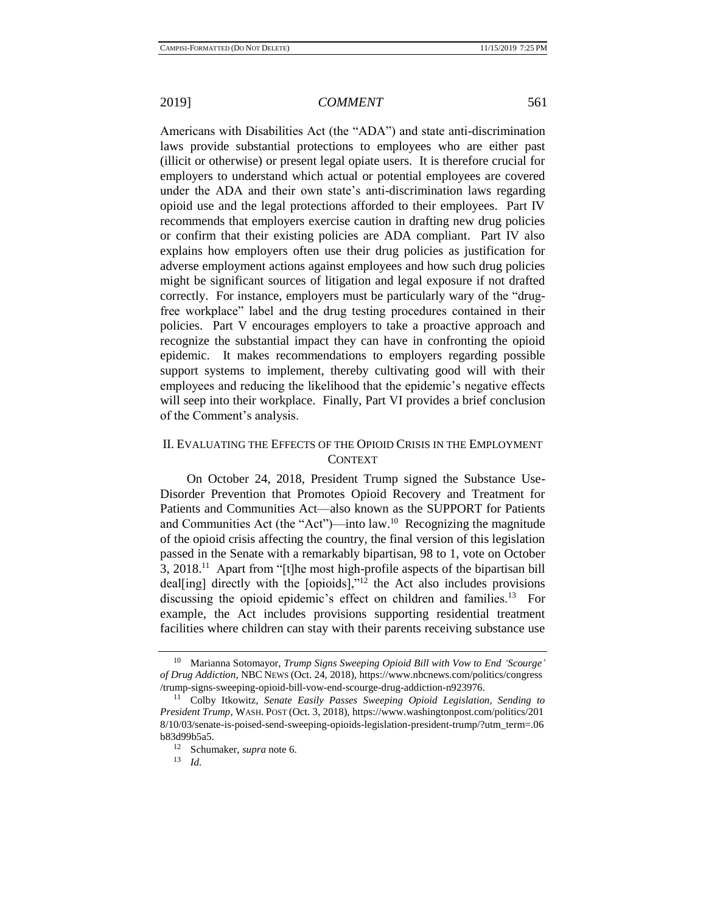Americans with Disabilities Act (the "ADA") and state anti-discrimination laws provide substantial protections to employees who are either past (illicit or otherwise) or present legal opiate users. It is therefore crucial for employers to understand which actual or potential employees are covered under the ADA and their own state's anti-discrimination laws regarding opioid use and the legal protections afforded to their employees. Part IV recommends that employers exercise caution in drafting new drug policies or confirm that their existing policies are ADA compliant. Part IV also explains how employers often use their drug policies as justification for adverse employment actions against employees and how such drug policies might be significant sources of litigation and legal exposure if not drafted correctly. For instance, employers must be particularly wary of the "drugfree workplace" label and the drug testing procedures contained in their policies. Part V encourages employers to take a proactive approach and recognize the substantial impact they can have in confronting the opioid epidemic. It makes recommendations to employers regarding possible support systems to implement, thereby cultivating good will with their employees and reducing the likelihood that the epidemic's negative effects will seep into their workplace. Finally, Part VI provides a brief conclusion of the Comment's analysis.

## II. EVALUATING THE EFFECTS OF THE OPIOID CRISIS IN THE EMPLOYMENT CONTEXT

<span id="page-2-1"></span><span id="page-2-0"></span>On October 24, 2018, President Trump signed the Substance Use-Disorder Prevention that Promotes Opioid Recovery and Treatment for Patients and Communities Act—also known as the SUPPORT for Patients and Communities Act (the "Act")—into  $law<sup>10</sup>$ . Recognizing the magnitude of the opioid crisis affecting the country, the final version of this legislation passed in the Senate with a remarkably bipartisan, 98 to 1, vote on October 3, 2018.<sup>11</sup> Apart from "[t]he most high-profile aspects of the bipartisan bill deal[ing] directly with the [opioids]," $12$  the Act also includes provisions discussing the opioid epidemic's effect on children and families.<sup>13</sup> For example, the Act includes provisions supporting residential treatment facilities where children can stay with their parents receiving substance use

<sup>10</sup> Marianna Sotomayor, *Trump Signs Sweeping Opioid Bill with Vow to End 'Scourge' of Drug Addiction*, NBC NEWS (Oct. 24, 2018), https://www.nbcnews.com/politics/congress /trump-signs-sweeping-opioid-bill-vow-end-scourge-drug-addiction-n923976.

<sup>11</sup> Colby Itkowitz, *Senate Easily Passes Sweeping Opioid Legislation, Sending to President Trump*, WASH. POST (Oct. 3, 2018), https://www.washingtonpost.com/politics/201 8/10/03/senate-is-poised-send-sweeping-opioids-legislation-president-trump/?utm\_term=.06  $b83d99b5a5.$ 

<sup>&</sup>lt;sup>12</sup> Schumaker, *supra* not[e 6.](#page-1-0)<br><sup>13</sup>  $\frac{1}{d}$ 

<sup>13</sup> *Id.*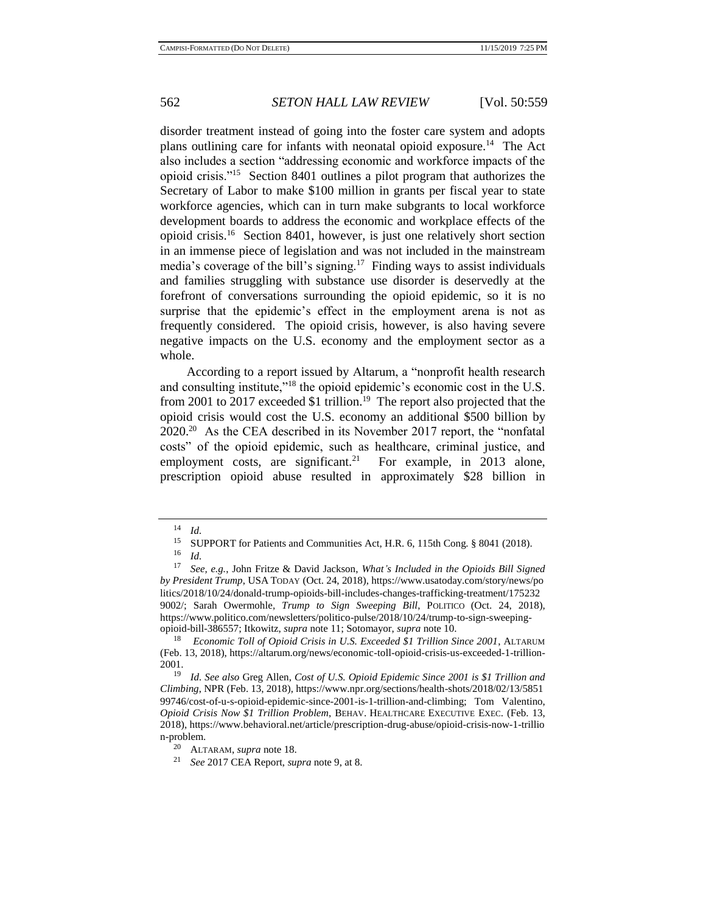disorder treatment instead of going into the foster care system and adopts plans outlining care for infants with neonatal opioid exposure.<sup>14</sup> The Act also includes a section "addressing economic and workforce impacts of the opioid crisis."<sup>15</sup> Section 8401 outlines a pilot program that authorizes the Secretary of Labor to make \$100 million in grants per fiscal year to state workforce agencies, which can in turn make subgrants to local workforce development boards to address the economic and workplace effects of the opioid crisis.<sup>16</sup> Section 8401, however, is just one relatively short section in an immense piece of legislation and was not included in the mainstream media's coverage of the bill's signing.<sup>17</sup> Finding ways to assist individuals and families struggling with substance use disorder is deservedly at the forefront of conversations surrounding the opioid epidemic, so it is no surprise that the epidemic's effect in the employment arena is not as frequently considered. The opioid crisis, however, is also having severe negative impacts on the U.S. economy and the employment sector as a whole.

<span id="page-3-0"></span>According to a report issued by Altarum, a "nonprofit health research and consulting institute,"<sup>18</sup> the opioid epidemic's economic cost in the U.S. from 2001 to 2017 exceeded \$1 trillion.<sup>19</sup> The report also projected that the opioid crisis would cost the U.S. economy an additional \$500 billion by 2020.<sup>20</sup> As the CEA described in its November 2017 report, the "nonfatal costs" of the opioid epidemic, such as healthcare, criminal justice, and employment costs, are significant.<sup>21</sup> For example, in 2013 alone, prescription opioid abuse resulted in approximately \$28 billion in

 $\frac{14}{15}$  *Id.* 

<sup>&</sup>lt;sup>15</sup> SUPPORT for Patients and Communities Act, H.R. 6, 115th Cong. § 8041 (2018).

 $\frac{16}{17}$  *Id.* 

<sup>17</sup> *See, e.g.*, John Fritze & David Jackson, *What's Included in the Opioids Bill Signed by President Trump*, USA TODAY (Oct. 24, 2018), https://www.usatoday.com/story/news/po litics/2018/10/24/donald-trump-opioids-bill-includes-changes-trafficking-treatment/175232 9002/; Sarah Owermohle*, Trump to Sign Sweeping Bill*, POLITICO (Oct. 24, 2018), https://www.politico.com/newsletters/politico-pulse/2018/10/24/trump-to-sign-sweepingopioid-bill-386557; Itkowitz, *supra* not[e 11;](#page-2-0) Sotomayor, *supra* note [10.](#page-2-1)

<sup>18</sup> *Economic Toll of Opioid Crisis in U.S. Exceeded \$1 Trillion Since 2001*, ALTARUM (Feb. 13, 2018), https://altarum.org/news/economic-toll-opioid-crisis-us-exceeded-1-trillion-2001.

<sup>19</sup> *Id. See also* Greg Allen, *Cost of U.S. Opioid Epidemic Since 2001 is \$1 Trillion and Climbing*, NPR (Feb. 13, 2018), https://www.npr.org/sections/health-shots/2018/02/13/5851 99746/cost-of-u-s-opioid-epidemic-since-2001-is-1-trillion-and-climbing; Tom Valentino, *Opioid Crisis Now \$1 Trillion Problem*, BEHAV. HEALTHCARE EXECUTIVE EXEC. (Feb. 13, 2018), https://www.behavioral.net/article/prescription-drug-abuse/opioid-crisis-now-1-trillio n-problem.

<sup>20</sup> ALTARAM, *supra* not[e 18.](#page-3-0)

<sup>21</sup> *See* 2017 CEA Report, *supra* note [9,](#page-1-1) at 8.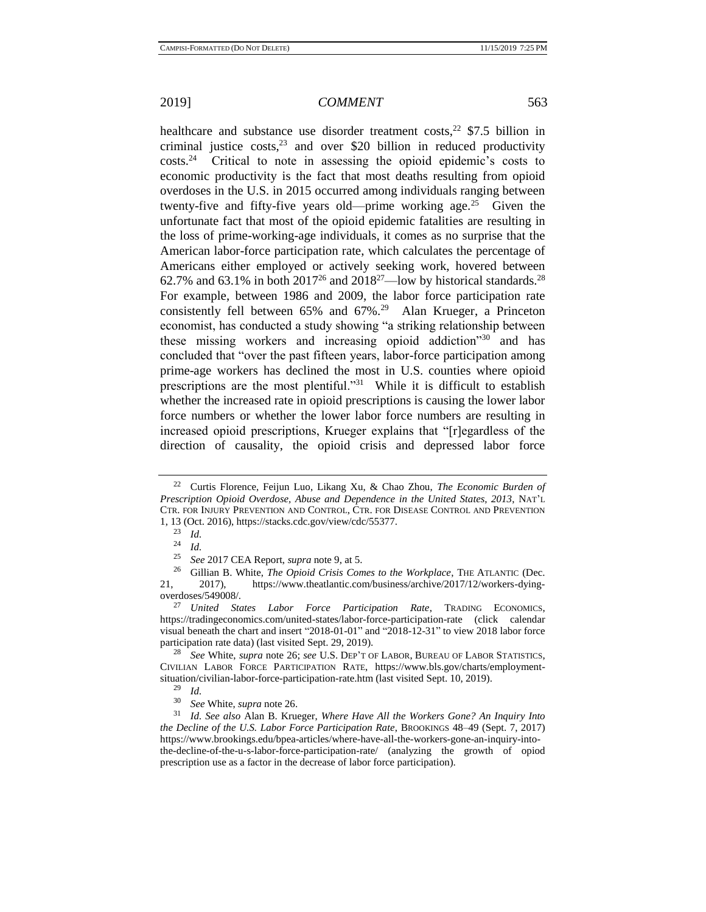<span id="page-4-0"></span>healthcare and substance use disorder treatment costs,  $22$  \$7.5 billion in criminal justice costs,  $23$  and over \$20 billion in reduced productivity costs.<sup>24</sup> Critical to note in assessing the opioid epidemic's costs to economic productivity is the fact that most deaths resulting from opioid overdoses in the U.S. in 2015 occurred among individuals ranging between twenty-five and fifty-five years old—prime working age.<sup>25</sup> Given the unfortunate fact that most of the opioid epidemic fatalities are resulting in the loss of prime-working-age individuals, it comes as no surprise that the American labor-force participation rate, which calculates the percentage of Americans either employed or actively seeking work, hovered between 62.7% and 63.1% in both  $2017^{26}$  and  $2018^{27}$ —low by historical standards.<sup>28</sup> For example, between 1986 and 2009, the labor force participation rate consistently fell between 65% and 67%.<sup>29</sup> Alan Krueger, a Princeton economist, has conducted a study showing "a striking relationship between these missing workers and increasing opioid addiction<sup>330</sup> and has concluded that "over the past fifteen years, labor-force participation among prime-age workers has declined the most in U.S. counties where opioid prescriptions are the most plentiful."<sup>31</sup> While it is difficult to establish whether the increased rate in opioid prescriptions is causing the lower labor force numbers or whether the lower labor force numbers are resulting in increased opioid prescriptions, Krueger explains that "[r]egardless of the direction of causality, the opioid crisis and depressed labor force

<span id="page-4-1"></span><sup>22</sup> Curtis Florence, Feijun Luo, Likang Xu, & Chao Zhou, *The Economic Burden of Prescription Opioid Overdose, Abuse and Dependence in the United States, 2013*, NAT'L CTR. FOR INJURY PREVENTION AND CONTROL, CTR. FOR DISEASE CONTROL AND PREVENTION 1, 13 (Oct. 2016), https://stacks.cdc.gov/view/cdc/55377.

<sup>23</sup> *Id.*

 $rac{24}{25}$  *Id.* 

<sup>25</sup> *See* 2017 CEA Report, *supra* note [9,](#page-1-1) at 5.

<sup>26</sup> Gillian B. White, *The Opioid Crisis Comes to the Workplace*, THE ATLANTIC (Dec. 21, 2017), https://www.theatlantic.com/business/archive/2017/12/workers-dyingoverdoses/549008/.

<sup>27</sup> *United States Labor Force Participation Rate*, TRADING ECONOMICS, https://tradingeconomics.com/united-states/labor-force-participation-rate (click calendar visual beneath the chart and insert "2018-01-01" and "2018-12-31" to view 2018 labor force participation rate data) (last visited Sept. 29, 2019).

<sup>28</sup> *See* White, *supra* note [26;](#page-4-0) *see* U.S. DEP'T OF LABOR, BUREAU OF LABOR STATISTICS, CIVILIAN LABOR FORCE PARTICIPATION RATE, https://www.bls.gov/charts/employmentsituation/civilian-labor-force-participation-rate.htm (last visited Sept. 10, 2019).

 $rac{29}{30}$  *Id.* 

<sup>30</sup> *See* White, *supra* note [26.](#page-4-0)

<sup>31</sup> *Id. See also* Alan B. Krueger, *Where Have All the Workers Gone? An Inquiry Into the Decline of the U.S. Labor Force Participation Rate*, BROOKINGS 48–49 (Sept. 7, 2017) https://www.brookings.edu/bpea-articles/where-have-all-the-workers-gone-an-inquiry-intothe-decline-of-the-u-s-labor-force-participation-rate/ (analyzing the growth of opiod prescription use as a factor in the decrease of labor force participation).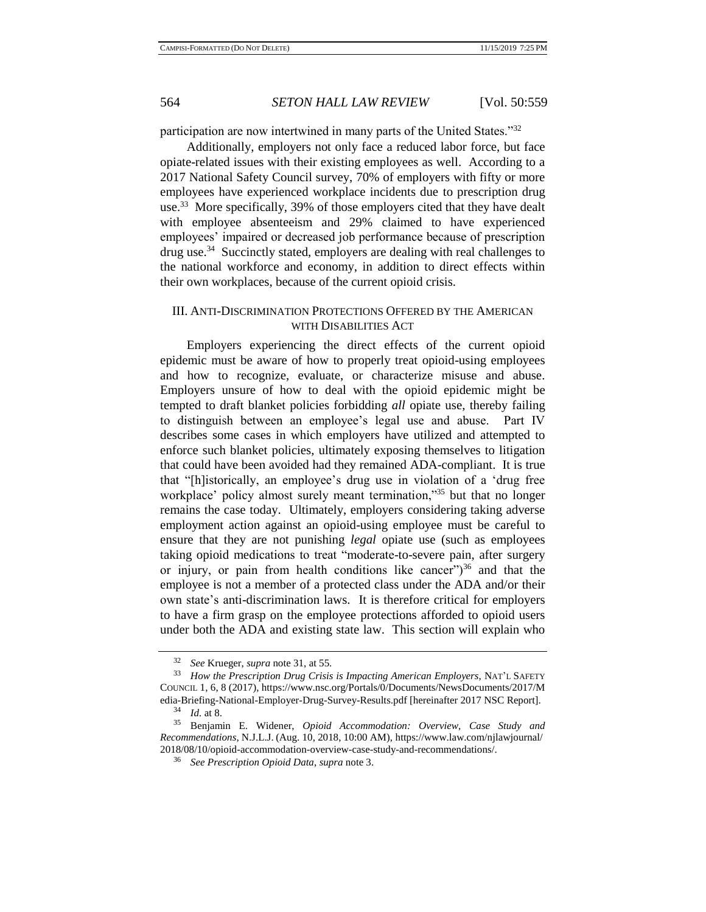participation are now intertwined in many parts of the United States."<sup>32</sup>

<span id="page-5-0"></span>Additionally, employers not only face a reduced labor force, but face opiate-related issues with their existing employees as well. According to a 2017 National Safety Council survey, 70% of employers with fifty or more employees have experienced workplace incidents due to prescription drug use.<sup>33</sup> More specifically, 39% of those employers cited that they have dealt with employee absenteeism and 29% claimed to have experienced employees' impaired or decreased job performance because of prescription drug use.<sup>34</sup> Succinctly stated, employers are dealing with real challenges to the national workforce and economy, in addition to direct effects within their own workplaces, because of the current opioid crisis.

## III. ANTI-DISCRIMINATION PROTECTIONS OFFERED BY THE AMERICAN WITH DISABILITIES ACT

Employers experiencing the direct effects of the current opioid epidemic must be aware of how to properly treat opioid-using employees and how to recognize, evaluate, or characterize misuse and abuse. Employers unsure of how to deal with the opioid epidemic might be tempted to draft blanket policies forbidding *all* opiate use, thereby failing to distinguish between an employee's legal use and abuse. Part IV describes some cases in which employers have utilized and attempted to enforce such blanket policies, ultimately exposing themselves to litigation that could have been avoided had they remained ADA-compliant. It is true that "[h]istorically, an employee's drug use in violation of a 'drug free workplace' policy almost surely meant termination,"<sup>35</sup> but that no longer remains the case today. Ultimately, employers considering taking adverse employment action against an opioid-using employee must be careful to ensure that they are not punishing *legal* opiate use (such as employees taking opioid medications to treat "moderate-to-severe pain, after surgery or injury, or pain from health conditions like cancer")<sup>36</sup> and that the employee is not a member of a protected class under the ADA and/or their own state's anti-discrimination laws. It is therefore critical for employers to have a firm grasp on the employee protections afforded to opioid users under both the ADA and existing state law. This section will explain who

<sup>32</sup> *See* Krueger, *supra* not[e 31,](#page-4-1) at 55.

<sup>33</sup> *How the Prescription Drug Crisis is Impacting American Employers*, NAT'L SAFETY COUNCIL 1, 6, 8 (2017), https://www.nsc.org/Portals/0/Documents/NewsDocuments/2017/M edia-Briefing-National-Employer-Drug-Survey-Results.pdf [hereinafter 2017 NSC Report].

 $rac{34}{35}$  *Id.* at 8.

<sup>35</sup> Benjamin E. Widener, *Opioid Accommodation: Overview, Case Study and Recommendations*, N.J.L.J. (Aug. 10, 2018, 10:00 AM), https://www.law.com/njlawjournal/ 2018/08/10/opioid-accommodation-overview-case-study-and-recommendations/.

<sup>36</sup> *See Prescription Opioid Data*, *supra* not[e 3.](#page-0-0)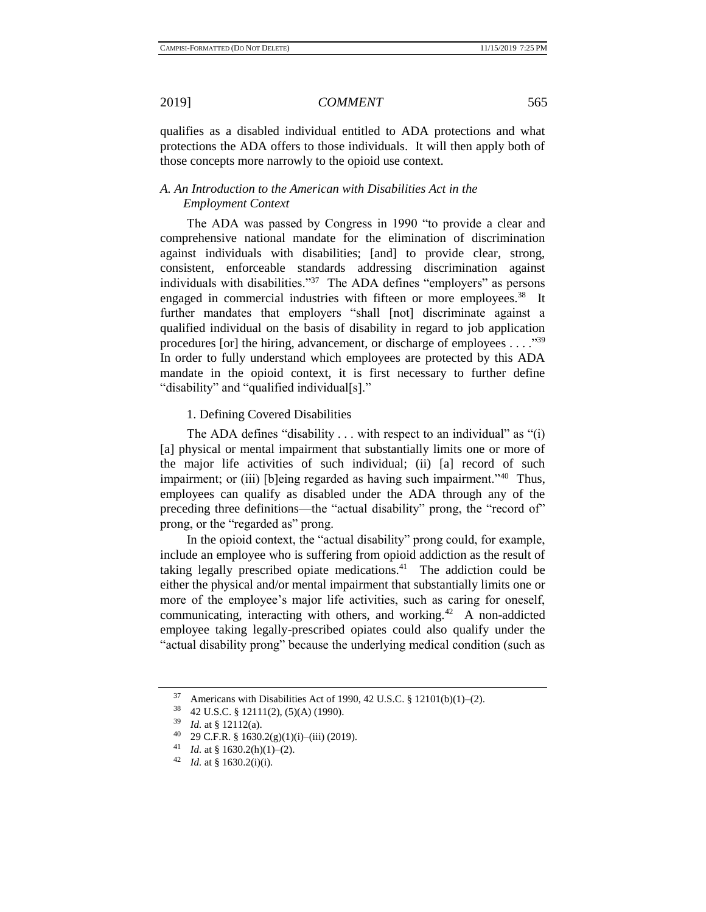qualifies as a disabled individual entitled to ADA protections and what protections the ADA offers to those individuals. It will then apply both of those concepts more narrowly to the opioid use context.

### *A. An Introduction to the American with Disabilities Act in the Employment Context*

The ADA was passed by Congress in 1990 "to provide a clear and comprehensive national mandate for the elimination of discrimination against individuals with disabilities; [and] to provide clear, strong, consistent, enforceable standards addressing discrimination against individuals with disabilities."<sup>37</sup> The ADA defines "employers" as persons engaged in commercial industries with fifteen or more employees.<sup>38</sup> It further mandates that employers "shall [not] discriminate against a qualified individual on the basis of disability in regard to job application procedures [or] the hiring, advancement, or discharge of employees . . . . " $39$ In order to fully understand which employees are protected by this ADA mandate in the opioid context, it is first necessary to further define "disability" and "qualified individual[s]."

1. Defining Covered Disabilities

The ADA defines "disability  $\ldots$  with respect to an individual" as "(i) [a] physical or mental impairment that substantially limits one or more of the major life activities of such individual; (ii) [a] record of such impairment; or (iii) [b]eing regarded as having such impairment."<sup>40</sup> Thus, employees can qualify as disabled under the ADA through any of the preceding three definitions—the "actual disability" prong, the "record of" prong, or the "regarded as" prong.

In the opioid context, the "actual disability" prong could, for example, include an employee who is suffering from opioid addiction as the result of taking legally prescribed opiate medications.<sup>41</sup> The addiction could be either the physical and/or mental impairment that substantially limits one or more of the employee's major life activities, such as caring for oneself, communicating, interacting with others, and working.<sup>42</sup> A non-addicted employee taking legally-prescribed opiates could also qualify under the "actual disability prong" because the underlying medical condition (such as

<sup>&</sup>lt;sup>37</sup> Americans with Disabilities Act of 1990, 42 U.S.C. § 12101(b)(1)–(2).

 $^{38}$  42 U.S.C. § 12111(2), (5)(A) (1990).<br> $^{39}$  *M* at § 12112(c)

 $^{39}$  *Id.* at § 12112(a).

<sup>40 29</sup> C.F.R. § 1630.2(g)(1)(i)–(iii) (2019).

<sup>&</sup>lt;sup>41</sup> *Id.* at § 1630.2(h)(1)–(2).<br><sup>42</sup> *Id.* at § 1630.2(i)(i)

*Id.* at § 1630.2(i)(i).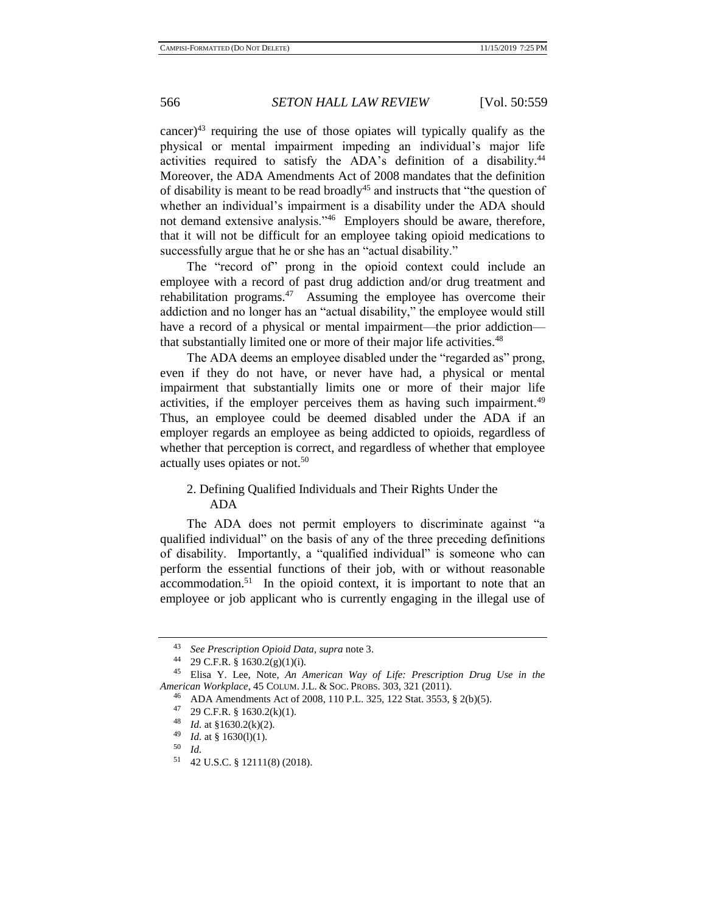<span id="page-7-0"></span>cancer)<sup>43</sup> requiring the use of those opiates will typically qualify as the physical or mental impairment impeding an individual's major life activities required to satisfy the ADA's definition of a disability.<sup>44</sup> Moreover, the ADA Amendments Act of 2008 mandates that the definition of disability is meant to be read broadly<sup>45</sup> and instructs that "the question of whether an individual's impairment is a disability under the ADA should not demand extensive analysis."<sup>46</sup> Employers should be aware, therefore, that it will not be difficult for an employee taking opioid medications to successfully argue that he or she has an "actual disability."

The "record of" prong in the opioid context could include an employee with a record of past drug addiction and/or drug treatment and rehabilitation programs.<sup>47</sup> Assuming the employee has overcome their addiction and no longer has an "actual disability," the employee would still have a record of a physical or mental impairment—the prior addiction that substantially limited one or more of their major life activities.<sup>48</sup>

The ADA deems an employee disabled under the "regarded as" prong, even if they do not have, or never have had, a physical or mental impairment that substantially limits one or more of their major life activities, if the employer perceives them as having such impairment.<sup>49</sup> Thus, an employee could be deemed disabled under the ADA if an employer regards an employee as being addicted to opioids, regardless of whether that perception is correct, and regardless of whether that employee actually uses opiates or not.<sup>50</sup>

## 2. Defining Qualified Individuals and Their Rights Under the ADA

The ADA does not permit employers to discriminate against "a qualified individual" on the basis of any of the three preceding definitions of disability. Importantly, a "qualified individual" is someone who can perform the essential functions of their job, with or without reasonable accommodation.<sup>51</sup> In the opioid context, it is important to note that an employee or job applicant who is currently engaging in the illegal use of

<sup>43</sup> *See Prescription Opioid Data*, *supra* not[e 3.](#page-0-0)

<sup>44</sup> 29 C.F.R. § 1630.2(g)(1)(i).

<sup>45</sup> Elisa Y. Lee, Note, *An American Way of Life: Prescription Drug Use in the American Workplace*, 45 COLUM. J.L. & SOC. PROBS. 303, 321 (2011).

<sup>46</sup> ADA Amendments Act of 2008, 110 P.L. 325, 122 Stat. 3553, § 2(b)(5).

<sup>47 29</sup> C.F.R. § 1630.2(k)(1).

<sup>&</sup>lt;sup>48</sup> *Id.* at §1630.2(k)(2).<br><sup>49</sup> *Id.* at § 1630(1)(1).

<sup>&</sup>lt;sup>49</sup> *Id.* at § 1630(l)(1).<br>50 *Id* 

 $\begin{array}{cc} 50 & Id. \\ 51 & 42 \end{array}$ 

<sup>51</sup> 42 U.S.C. § 12111(8) (2018).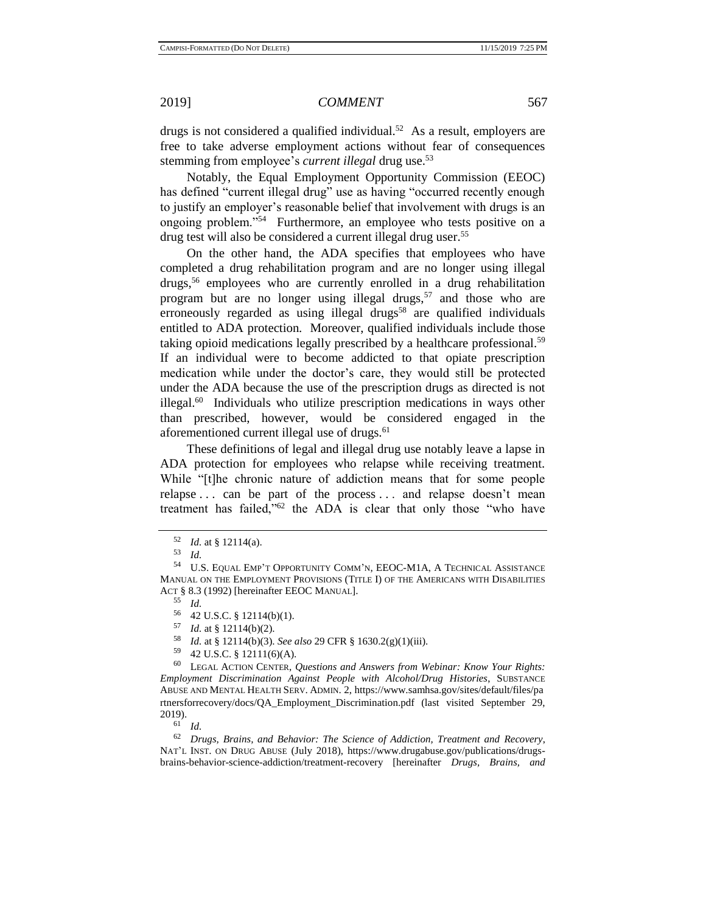drugs is not considered a qualified individual.<sup>52</sup> As a result, employers are free to take adverse employment actions without fear of consequences stemming from employee's *current illegal* drug use.<sup>53</sup>

Notably, the Equal Employment Opportunity Commission (EEOC) has defined "current illegal drug" use as having "occurred recently enough to justify an employer's reasonable belief that involvement with drugs is an ongoing problem."<sup>54</sup> Furthermore, an employee who tests positive on a drug test will also be considered a current illegal drug user.<sup>55</sup>

<span id="page-8-0"></span>On the other hand, the ADA specifies that employees who have completed a drug rehabilitation program and are no longer using illegal drugs,<sup>56</sup> employees who are currently enrolled in a drug rehabilitation program but are no longer using illegal drugs,<sup>57</sup> and those who are erroneously regarded as using illegal drugs<sup>58</sup> are qualified individuals entitled to ADA protection. Moreover, qualified individuals include those taking opioid medications legally prescribed by a healthcare professional.<sup>59</sup> If an individual were to become addicted to that opiate prescription medication while under the doctor's care, they would still be protected under the ADA because the use of the prescription drugs as directed is not illegal.<sup>60</sup> Individuals who utilize prescription medications in ways other than prescribed, however, would be considered engaged in the aforementioned current illegal use of drugs.<sup>61</sup>

These definitions of legal and illegal drug use notably leave a lapse in ADA protection for employees who relapse while receiving treatment. While "[t]he chronic nature of addiction means that for some people relapse . . . can be part of the process . . . and relapse doesn't mean treatment has failed,"<sup>62</sup> the ADA is clear that only those "who have

 $\frac{57}{58}$  *Id.* at § 12114(b)(2).

 $\frac{61}{62}$  *Id.* 

<sup>62</sup> *Drugs, Brains, and Behavior: The Science of Addiction, Treatment and Recovery*, NAT'L INST. ON DRUG ABUSE (July 2018), https://www.drugabuse.gov/publications/drugsbrains-behavior-science-addiction/treatment-recovery [hereinafter *Drugs, Brains, and* 

<span id="page-8-1"></span> $\frac{52}{53}$  *Id.* at § 12114(a).

<sup>53</sup> *Id.*

<sup>54</sup> U.S. EQUAL EMP'T OPPORTUNITY COMM'N, EEOC-M1A, A TECHNICAL ASSISTANCE MANUAL ON THE EMPLOYMENT PROVISIONS (TITLE I) OF THE AMERICANS WITH DISABILITIES ACT § 8.3 (1992) [hereinafter EEOC MANUAL].

<sup>55</sup> *Id.*

 $^{56}$  42 U.S.C. § 12114(b)(1).<br> $^{57}$  *L*d at 8 12114(b)(2)

<sup>58</sup> *Id.* at § 12114(b)(3). *See also* 29 CFR § 1630.2(g)(1)(iii).

<sup>59</sup> 42 U.S.C. § 12111(6)(A).

<sup>60</sup> LEGAL ACTION CENTER, *Questions and Answers from Webinar: Know Your Rights: Employment Discrimination Against People with Alcohol/Drug Histories*, SUBSTANCE ABUSE AND MENTAL HEALTH SERV. ADMIN. 2, https://www.samhsa.gov/sites/default/files/pa rtnersforrecovery/docs/QA\_Employment\_Discrimination.pdf (last visited September 29,  $2019$ ).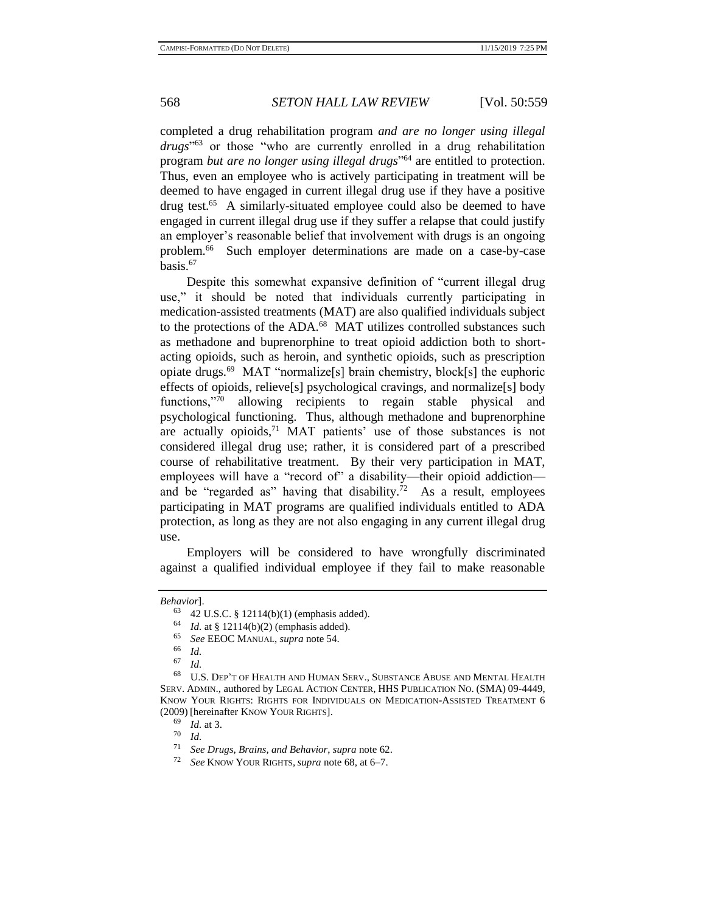completed a drug rehabilitation program *and are no longer using illegal drugs*" <sup>63</sup> or those "who are currently enrolled in a drug rehabilitation program *but are no longer using illegal drugs*" <sup>64</sup> are entitled to protection. Thus, even an employee who is actively participating in treatment will be deemed to have engaged in current illegal drug use if they have a positive drug test.<sup>65</sup> A similarly-situated employee could also be deemed to have engaged in current illegal drug use if they suffer a relapse that could justify an employer's reasonable belief that involvement with drugs is an ongoing problem.<sup>66</sup> Such employer determinations are made on a case-by-case basis.<sup>67</sup>

<span id="page-9-0"></span>Despite this somewhat expansive definition of "current illegal drug use," it should be noted that individuals currently participating in medication-assisted treatments (MAT) are also qualified individuals subject to the protections of the ADA.<sup>68</sup> MAT utilizes controlled substances such as methadone and buprenorphine to treat opioid addiction both to shortacting opioids, such as heroin, and synthetic opioids, such as prescription opiate drugs.<sup>69</sup> MAT "normalize[s] brain chemistry, block[s] the euphoric effects of opioids, relieve[s] psychological cravings, and normalize[s] body functions,"<sup>70</sup> allowing recipients to regain stable physical and psychological functioning. Thus, although methadone and buprenorphine are actually opioids,<sup>71</sup> MAT patients' use of those substances is not considered illegal drug use; rather, it is considered part of a prescribed course of rehabilitative treatment. By their very participation in MAT, employees will have a "record of" a disability—their opioid addiction and be "regarded as" having that disability.<sup>72</sup> As a result, employees participating in MAT programs are qualified individuals entitled to ADA protection, as long as they are not also engaging in any current illegal drug use.

Employers will be considered to have wrongfully discriminated against a qualified individual employee if they fail to make reasonable

 $\frac{70}{71}$  *Id.* 

*Behavior*].

<sup>63</sup> 42 U.S.C. § 12114(b)(1) (emphasis added).

<sup>&</sup>lt;sup>64</sup> *Id.* at § 12114(b)(2) (emphasis added).<br><sup>65</sup> See EEOC MANUAL survey pote 54

<sup>65</sup> *See* EEOC MANUAL, *supra* not[e 54.](#page-8-0)

 $\begin{array}{cc} 66 & Id. \\ 67 & Id. \end{array}$ 

<sup>67</sup> *Id.*

<sup>68</sup> U.S. DEP'T OF HEALTH AND HUMAN SERV., SUBSTANCE ABUSE AND MENTAL HEALTH SERV. ADMIN., authored by LEGAL ACTION CENTER, HHS PUBLICATION NO. (SMA) 09-4449, KNOW YOUR RIGHTS: RIGHTS FOR INDIVIDUALS ON MEDICATION-ASSISTED TREATMENT 6 (2009) [hereinafter KNOW YOUR RIGHTS].

 $\frac{69}{70}$  *Id.* at 3.

<sup>71</sup> *See Drugs, Brains, and Behavior*, *supra* not[e 62.](#page-8-1)

<sup>72</sup> *See* KNOW YOUR RIGHTS, *supra* not[e 68,](#page-9-0) at 6–7.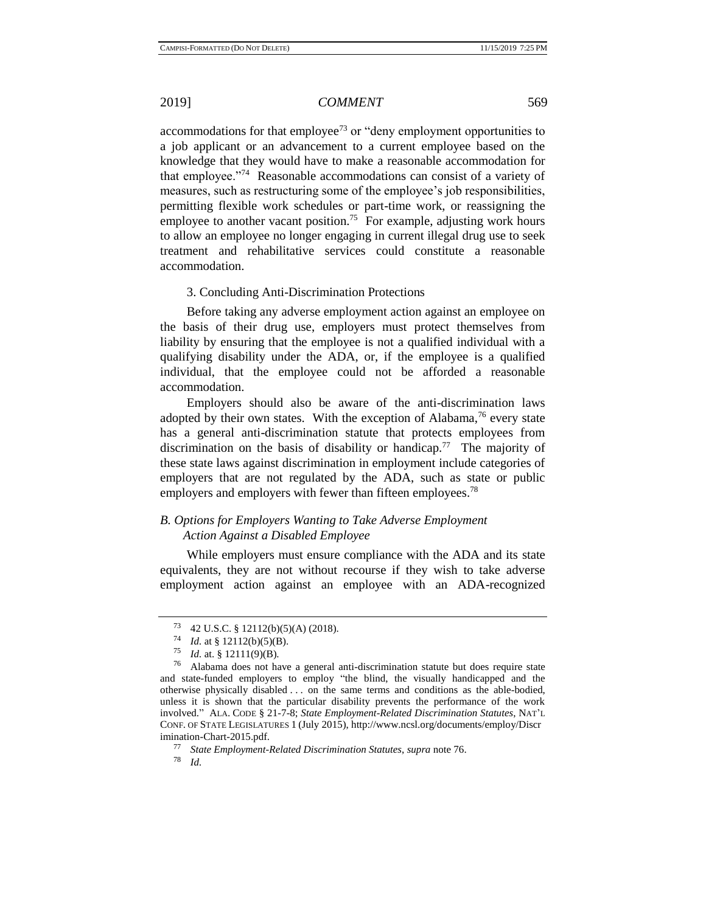accommodations for that employee<sup>73</sup> or "deny employment opportunities to a job applicant or an advancement to a current employee based on the knowledge that they would have to make a reasonable accommodation for that employee."<sup>74</sup> Reasonable accommodations can consist of a variety of measures, such as restructuring some of the employee's job responsibilities, permitting flexible work schedules or part-time work, or reassigning the employee to another vacant position.<sup>75</sup> For example, adjusting work hours to allow an employee no longer engaging in current illegal drug use to seek treatment and rehabilitative services could constitute a reasonable accommodation.

#### <span id="page-10-0"></span>3. Concluding Anti-Discrimination Protections

Before taking any adverse employment action against an employee on the basis of their drug use, employers must protect themselves from liability by ensuring that the employee is not a qualified individual with a qualifying disability under the ADA, or, if the employee is a qualified individual, that the employee could not be afforded a reasonable accommodation.

Employers should also be aware of the anti-discrimination laws adopted by their own states. With the exception of Alabama,<sup>76</sup> every state has a general anti-discrimination statute that protects employees from discrimination on the basis of disability or handicap.<sup>77</sup> The majority of these state laws against discrimination in employment include categories of employers that are not regulated by the ADA, such as state or public employers and employers with fewer than fifteen employees.<sup>78</sup>

## *B. Options for Employers Wanting to Take Adverse Employment Action Against a Disabled Employee*

While employers must ensure compliance with the ADA and its state equivalents, they are not without recourse if they wish to take adverse employment action against an employee with an ADA-recognized

*Id.* 

<sup>73</sup> 42 U.S.C. § 12112(b)(5)(A) (2018).

<sup>74</sup> *Id.* at § 12112(b)(5)(B).

 $^{75}$  *Id.* at. § 12111(9)(B).

<sup>76</sup> Alabama does not have a general anti-discrimination statute but does require state and state-funded employers to employ "the blind, the visually handicapped and the otherwise physically disabled . . . on the same terms and conditions as the able-bodied, unless it is shown that the particular disability prevents the performance of the work involved." ALA. CODE § 21-7-8; *State Employment-Related Discrimination Statutes*, NAT'L CONF. OF STATE LEGISLATURES 1 (July 2015), http://www.ncsl.org/documents/employ/Discr imination-Chart-2015.pdf.

<sup>77</sup> *State Employment-Related Discrimination Statutes*, *supra* not[e 76.](#page-10-0)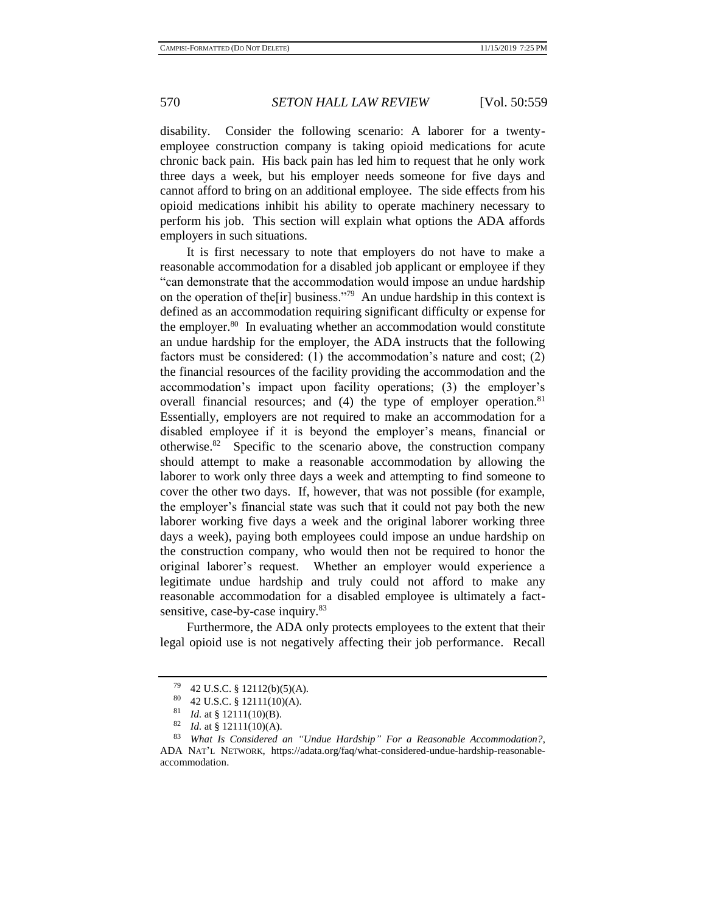disability. Consider the following scenario: A laborer for a twentyemployee construction company is taking opioid medications for acute chronic back pain. His back pain has led him to request that he only work three days a week, but his employer needs someone for five days and cannot afford to bring on an additional employee. The side effects from his opioid medications inhibit his ability to operate machinery necessary to perform his job. This section will explain what options the ADA affords employers in such situations.

It is first necessary to note that employers do not have to make a reasonable accommodation for a disabled job applicant or employee if they "can demonstrate that the accommodation would impose an undue hardship on the operation of the[ir] business."<sup>79</sup> An undue hardship in this context is defined as an accommodation requiring significant difficulty or expense for the employer.<sup>80</sup> In evaluating whether an accommodation would constitute an undue hardship for the employer, the ADA instructs that the following factors must be considered: (1) the accommodation's nature and cost; (2) the financial resources of the facility providing the accommodation and the accommodation's impact upon facility operations; (3) the employer's overall financial resources; and (4) the type of employer operation.<sup>81</sup> Essentially, employers are not required to make an accommodation for a disabled employee if it is beyond the employer's means, financial or otherwise.<sup>82</sup> Specific to the scenario above, the construction company should attempt to make a reasonable accommodation by allowing the laborer to work only three days a week and attempting to find someone to cover the other two days. If, however, that was not possible (for example, the employer's financial state was such that it could not pay both the new laborer working five days a week and the original laborer working three days a week), paying both employees could impose an undue hardship on the construction company, who would then not be required to honor the original laborer's request. Whether an employer would experience a legitimate undue hardship and truly could not afford to make any reasonable accommodation for a disabled employee is ultimately a factsensitive, case-by-case inquiry.<sup>83</sup>

Furthermore, the ADA only protects employees to the extent that their legal opioid use is not negatively affecting their job performance. Recall

 $^{79}$  42 U.S.C. § 12112(b)(5)(A).<br><sup>80</sup> 42 U.S.C. § 12111(10)(A).

<sup>&</sup>lt;sup>80</sup> 42 U.S.C. § 12111(10)(A).<br><sup>81</sup> *L*d. at § 12111(10)(P).

<sup>&</sup>lt;sup>81</sup> *Id.* at § 12111(10)(B).<br><sup>82</sup> *Id.* at § 12111(10)(A)

*Id.* at § 12111(10)(A).

<sup>83</sup> *What Is Considered an "Undue Hardship" For a Reasonable Accommodation?*, ADA NAT'L NETWORK, https://adata.org/faq/what-considered-undue-hardship-reasonableaccommodation.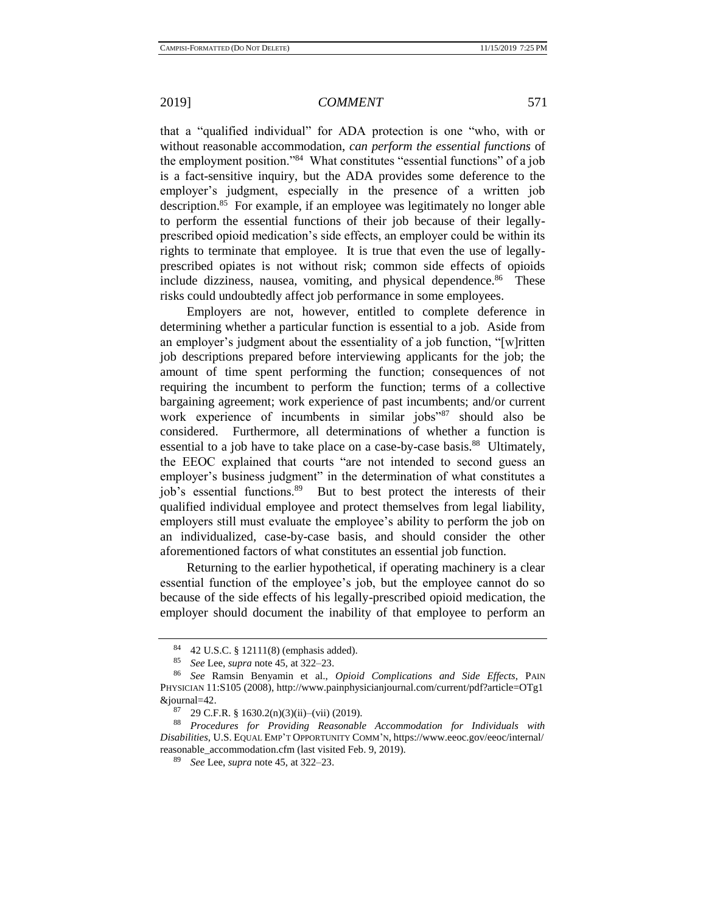that a "qualified individual" for ADA protection is one "who, with or without reasonable accommodation, *can perform the essential functions* of the employment position."<sup>84</sup> What constitutes "essential functions" of a job is a fact-sensitive inquiry, but the ADA provides some deference to the employer's judgment, especially in the presence of a written job description.<sup>85</sup> For example, if an employee was legitimately no longer able to perform the essential functions of their job because of their legallyprescribed opioid medication's side effects, an employer could be within its rights to terminate that employee. It is true that even the use of legallyprescribed opiates is not without risk; common side effects of opioids include dizziness, nausea, vomiting, and physical dependence.<sup>86</sup> These risks could undoubtedly affect job performance in some employees.

Employers are not, however, entitled to complete deference in determining whether a particular function is essential to a job. Aside from an employer's judgment about the essentiality of a job function, "[w]ritten job descriptions prepared before interviewing applicants for the job; the amount of time spent performing the function; consequences of not requiring the incumbent to perform the function; terms of a collective bargaining agreement; work experience of past incumbents; and/or current work experience of incumbents in similar jobs"<sup>87</sup> should also be considered. Furthermore, all determinations of whether a function is essential to a job have to take place on a case-by-case basis.<sup>88</sup> Ultimately, the EEOC explained that courts "are not intended to second guess an employer's business judgment" in the determination of what constitutes a job's essential functions.<sup>89</sup> But to best protect the interests of their qualified individual employee and protect themselves from legal liability, employers still must evaluate the employee's ability to perform the job on an individualized, case-by-case basis, and should consider the other aforementioned factors of what constitutes an essential job function.

Returning to the earlier hypothetical, if operating machinery is a clear essential function of the employee's job, but the employee cannot do so because of the side effects of his legally-prescribed opioid medication, the employer should document the inability of that employee to perform an

<sup>&</sup>lt;sup>84</sup> 42 U.S.C. § 12111(8) (emphasis added).<br><sup>85</sup> See Lee supper pote  $45$  at  $322.22$ 

<sup>85</sup> *See* Lee, *supra* not[e 45,](#page-7-0) at 322–23.

<sup>86</sup> *See* Ramsin Benyamin et al., *Opioid Complications and Side Effects*, PAIN PHYSICIAN 11:S105 (2008), http://www.painphysicianjournal.com/current/pdf?article=OTg1 &journal=42.

 $^{87}$  29 C.F.R. § 1630.2(n)(3)(ii)–(vii) (2019).<br> $^{88}$  Procedures for Providing Reasonable

<sup>88</sup> *Procedures for Providing Reasonable Accommodation for Individuals with Disabilities*, U.S. EQUAL EMP'T OPPORTUNITY COMM'N, https://www.eeoc.gov/eeoc/internal/ reasonable\_accommodation.cfm (last visited Feb. 9, 2019).

<sup>89</sup> *See* Lee, *supra* not[e 45,](#page-7-0) at 322–23.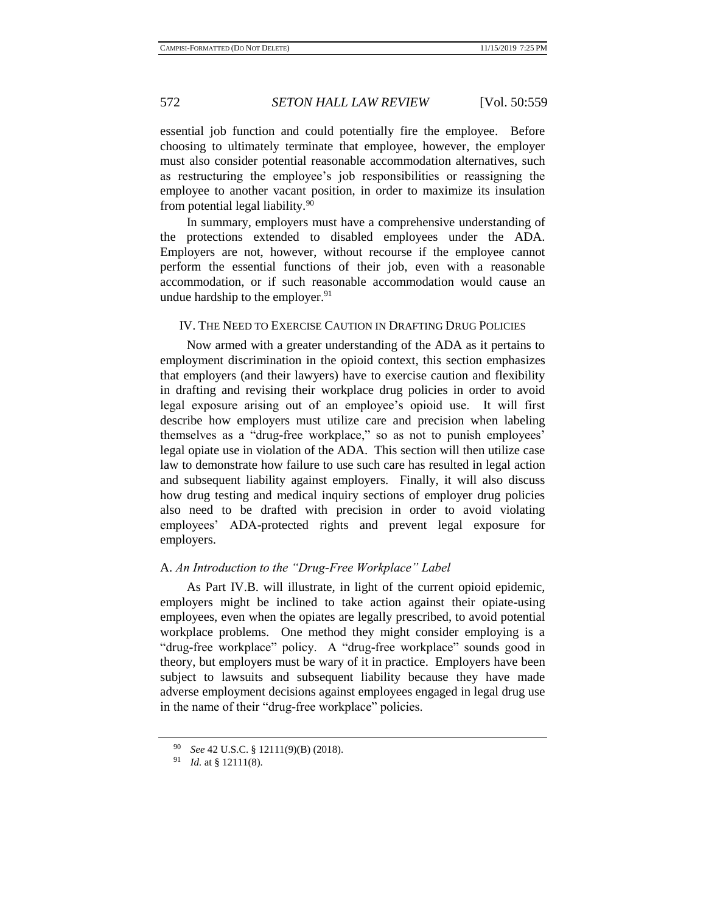essential job function and could potentially fire the employee. Before choosing to ultimately terminate that employee, however, the employer must also consider potential reasonable accommodation alternatives, such as restructuring the employee's job responsibilities or reassigning the employee to another vacant position, in order to maximize its insulation from potential legal liability.<sup>90</sup>

In summary, employers must have a comprehensive understanding of the protections extended to disabled employees under the ADA. Employers are not, however, without recourse if the employee cannot perform the essential functions of their job, even with a reasonable accommodation, or if such reasonable accommodation would cause an undue hardship to the employer.<sup>91</sup>

### IV. THE NEED TO EXERCISE CAUTION IN DRAFTING DRUG POLICIES

Now armed with a greater understanding of the ADA as it pertains to employment discrimination in the opioid context, this section emphasizes that employers (and their lawyers) have to exercise caution and flexibility in drafting and revising their workplace drug policies in order to avoid legal exposure arising out of an employee's opioid use. It will first describe how employers must utilize care and precision when labeling themselves as a "drug-free workplace," so as not to punish employees' legal opiate use in violation of the ADA. This section will then utilize case law to demonstrate how failure to use such care has resulted in legal action and subsequent liability against employers. Finally, it will also discuss how drug testing and medical inquiry sections of employer drug policies also need to be drafted with precision in order to avoid violating employees' ADA-protected rights and prevent legal exposure for employers.

#### A. *An Introduction to the "Drug-Free Workplace" Label*

As Part IV.B. will illustrate, in light of the current opioid epidemic, employers might be inclined to take action against their opiate-using employees, even when the opiates are legally prescribed, to avoid potential workplace problems. One method they might consider employing is a "drug-free workplace" policy. A "drug-free workplace" sounds good in theory, but employers must be wary of it in practice. Employers have been subject to lawsuits and subsequent liability because they have made adverse employment decisions against employees engaged in legal drug use in the name of their "drug-free workplace" policies.

<sup>90</sup> *See* 42 U.S.C. § 12111(9)(B) (2018).

<sup>91</sup> *Id.* at § 12111(8).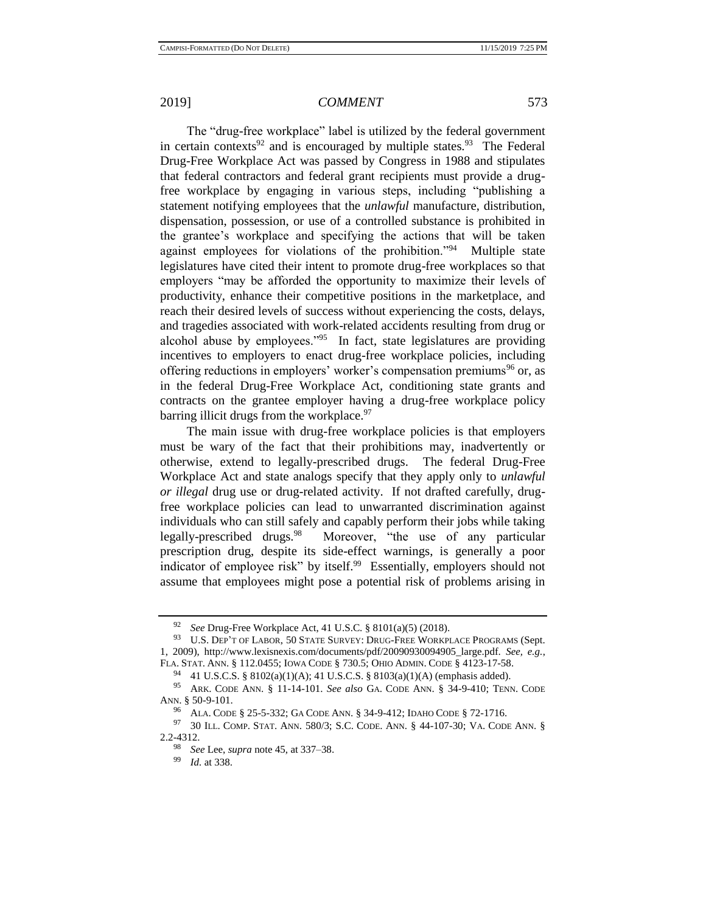The "drug-free workplace" label is utilized by the federal government in certain contexts<sup>92</sup> and is encouraged by multiple states.<sup>93</sup> The Federal Drug-Free Workplace Act was passed by Congress in 1988 and stipulates that federal contractors and federal grant recipients must provide a drugfree workplace by engaging in various steps, including "publishing a statement notifying employees that the *unlawful* manufacture, distribution, dispensation, possession, or use of a controlled substance is prohibited in the grantee's workplace and specifying the actions that will be taken against employees for violations of the prohibition."<sup>94</sup> Multiple state legislatures have cited their intent to promote drug-free workplaces so that employers "may be afforded the opportunity to maximize their levels of productivity, enhance their competitive positions in the marketplace, and reach their desired levels of success without experiencing the costs, delays, and tragedies associated with work-related accidents resulting from drug or alcohol abuse by employees."<sup>95</sup> In fact, state legislatures are providing incentives to employers to enact drug-free workplace policies, including offering reductions in employers' worker's compensation premiums<sup>96</sup> or, as in the federal Drug-Free Workplace Act, conditioning state grants and contracts on the grantee employer having a drug-free workplace policy barring illicit drugs from the workplace.<sup>97</sup>

The main issue with drug-free workplace policies is that employers must be wary of the fact that their prohibitions may, inadvertently or otherwise, extend to legally-prescribed drugs. The federal Drug-Free Workplace Act and state analogs specify that they apply only to *unlawful or illegal* drug use or drug-related activity. If not drafted carefully, drugfree workplace policies can lead to unwarranted discrimination against individuals who can still safely and capably perform their jobs while taking legally-prescribed drugs.<sup>98</sup> Moreover, "the use of any particular prescription drug, despite its side-effect warnings, is generally a poor indicator of employee risk" by itself.<sup>99</sup> Essentially, employers should not assume that employees might pose a potential risk of problems arising in

<sup>92</sup> *See* Drug-Free Workplace Act, 41 U.S.C. § 8101(a)(5) (2018).

<sup>93</sup> U.S. DEP'T OF LABOR, 50 STATE SURVEY: DRUG-FREE WORKPLACE PROGRAMS (Sept. 1, 2009), http://www.lexisnexis.com/documents/pdf/20090930094905\_large.pdf. *See, e.g.*, FLA. STAT. ANN. § 112.0455; IOWA CODE § 730.5; OHIO ADMIN. CODE § 4123-17-58.

<sup>94</sup> 41 U.S.C.S. § 8102(a)(1)(A); 41 U.S.C.S. § 8103(a)(1)(A) (emphasis added).

<sup>95</sup> ARK. CODE ANN. § 11-14-101. *See also* GA. CODE ANN. § 34-9-410; TENN. CODE ANN. § 50-9-101.

<sup>96</sup> ALA. CODE § 25-5-332; GA CODE ANN. § 34-9-412; IDAHO CODE § 72-1716.

<sup>97</sup> 30 ILL. COMP. STAT. ANN. 580/3; S.C. CODE. ANN. § 44-107-30; VA. CODE ANN. § 2.2-4312.

<sup>98</sup> *See* Lee, *supra* not[e 45,](#page-7-0) at 337–38.

*Id.* at 338.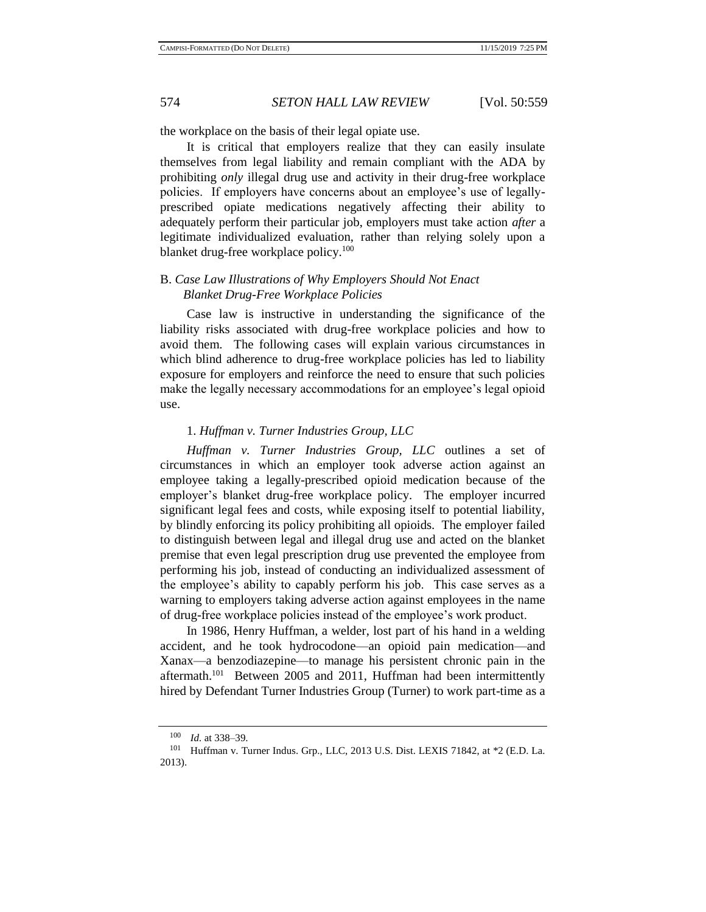the workplace on the basis of their legal opiate use.

It is critical that employers realize that they can easily insulate themselves from legal liability and remain compliant with the ADA by prohibiting *only* illegal drug use and activity in their drug-free workplace policies. If employers have concerns about an employee's use of legallyprescribed opiate medications negatively affecting their ability to adequately perform their particular job, employers must take action *after* a legitimate individualized evaluation, rather than relying solely upon a blanket drug-free workplace policy.<sup>100</sup>

## B. *Case Law Illustrations of Why Employers Should Not Enact Blanket Drug-Free Workplace Policies*

Case law is instructive in understanding the significance of the liability risks associated with drug-free workplace policies and how to avoid them. The following cases will explain various circumstances in which blind adherence to drug-free workplace policies has led to liability exposure for employers and reinforce the need to ensure that such policies make the legally necessary accommodations for an employee's legal opioid use.

### 1. *Huffman v. Turner Industries Group, LLC*

*Huffman v. Turner Industries Group, LLC* outlines a set of circumstances in which an employer took adverse action against an employee taking a legally-prescribed opioid medication because of the employer's blanket drug-free workplace policy. The employer incurred significant legal fees and costs, while exposing itself to potential liability, by blindly enforcing its policy prohibiting all opioids. The employer failed to distinguish between legal and illegal drug use and acted on the blanket premise that even legal prescription drug use prevented the employee from performing his job, instead of conducting an individualized assessment of the employee's ability to capably perform his job. This case serves as a warning to employers taking adverse action against employees in the name of drug-free workplace policies instead of the employee's work product.

In 1986, Henry Huffman, a welder, lost part of his hand in a welding accident, and he took hydrocodone—an opioid pain medication—and Xanax—a benzodiazepine—to manage his persistent chronic pain in the aftermath.<sup>101</sup> Between 2005 and 2011, Huffman had been intermittently hired by Defendant Turner Industries Group (Turner) to work part-time as a

<sup>100</sup> *Id.* at 338–39.

<sup>101</sup> Huffman v. Turner Indus. Grp., LLC, 2013 U.S. Dist. LEXIS 71842, at \*2 (E.D. La. 2013).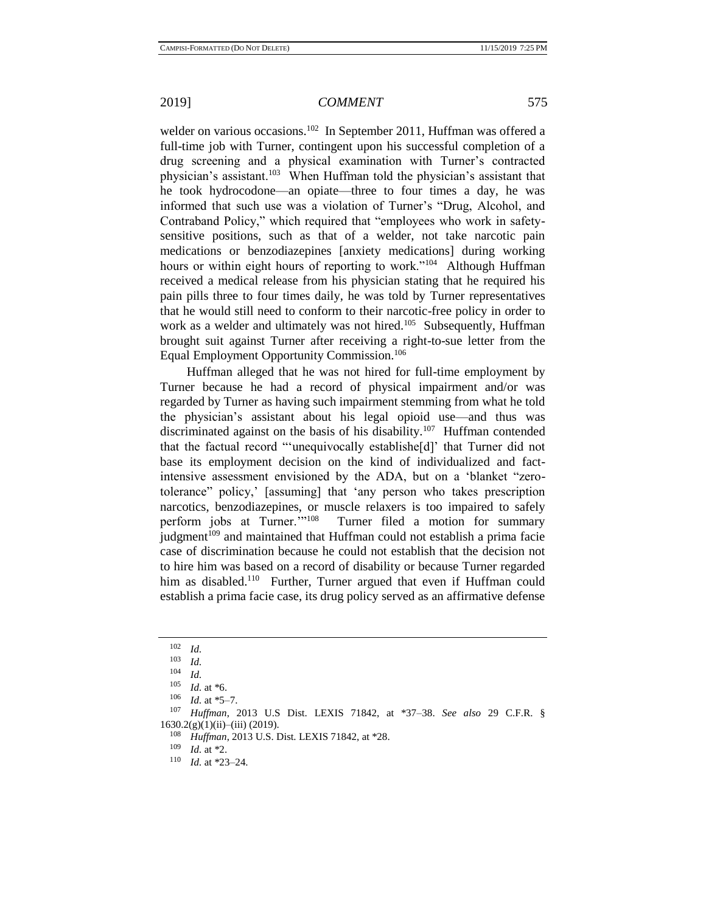welder on various occasions.<sup>102</sup> In September 2011, Huffman was offered a full-time job with Turner, contingent upon his successful completion of a drug screening and a physical examination with Turner's contracted physician's assistant.<sup>103</sup> When Huffman told the physician's assistant that he took hydrocodone—an opiate—three to four times a day, he was informed that such use was a violation of Turner's "Drug, Alcohol, and Contraband Policy," which required that "employees who work in safetysensitive positions, such as that of a welder, not take narcotic pain medications or benzodiazepines [anxiety medications] during working hours or within eight hours of reporting to work."<sup>104</sup> Although Huffman received a medical release from his physician stating that he required his pain pills three to four times daily, he was told by Turner representatives that he would still need to conform to their narcotic-free policy in order to work as a welder and ultimately was not hired.<sup>105</sup> Subsequently, Huffman brought suit against Turner after receiving a right-to-sue letter from the Equal Employment Opportunity Commission.<sup>106</sup>

Huffman alleged that he was not hired for full-time employment by Turner because he had a record of physical impairment and/or was regarded by Turner as having such impairment stemming from what he told the physician's assistant about his legal opioid use—and thus was discriminated against on the basis of his disability.<sup>107</sup> Huffman contended that the factual record "'unequivocally establishe[d]' that Turner did not base its employment decision on the kind of individualized and factintensive assessment envisioned by the ADA, but on a 'blanket "zerotolerance" policy,' [assuming] that 'any person who takes prescription narcotics, benzodiazepines, or muscle relaxers is too impaired to safely perform jobs at Turner."<sup>108</sup> Turner filed a motion for summary judgment<sup> $109$ </sup> and maintained that Huffman could not establish a prima facie case of discrimination because he could not establish that the decision not to hire him was based on a record of disability or because Turner regarded him as disabled.<sup>110</sup> Further, Turner argued that even if Huffman could establish a prima facie case, its drug policy served as an affirmative defense

 $\frac{109}{110}$  *Id.* at \*2.

 $\frac{102}{103}$  *Id.* 

 $\frac{103}{104}$  *Id.* 

 $\frac{104}{105}$  *Id.* 

*Id.* at  $*6$ .

 $106$  *Id.* at \*5–7.

<sup>107</sup> *Huffman*, 2013 U.S Dist. LEXIS 71842, at \*37–38. *See also* 29 C.F.R. § 1630.2(g)(1)(ii)–(iii) (2019).

<sup>108</sup> *Huffman*, 2013 U.S. Dist. LEXIS 71842, at \*28.<br><sup>109</sup> *M* at \*2

*Id.* at \*23–24.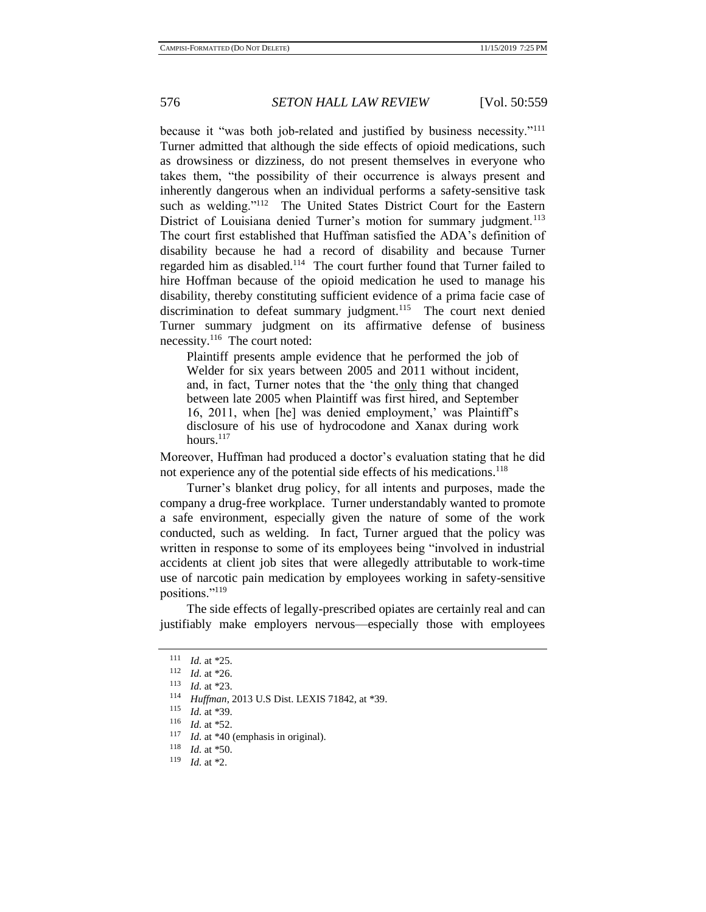because it "was both job-related and justified by business necessity."<sup>111</sup> Turner admitted that although the side effects of opioid medications, such as drowsiness or dizziness, do not present themselves in everyone who takes them, "the possibility of their occurrence is always present and inherently dangerous when an individual performs a safety-sensitive task such as welding."<sup>112</sup> The United States District Court for the Eastern District of Louisiana denied Turner's motion for summary judgment.<sup>113</sup> The court first established that Huffman satisfied the ADA's definition of disability because he had a record of disability and because Turner regarded him as disabled.<sup>114</sup> The court further found that Turner failed to hire Hoffman because of the opioid medication he used to manage his disability, thereby constituting sufficient evidence of a prima facie case of discrimination to defeat summary judgment.<sup>115</sup> The court next denied Turner summary judgment on its affirmative defense of business necessity.<sup>116</sup> The court noted:

Plaintiff presents ample evidence that he performed the job of Welder for six years between 2005 and 2011 without incident, and, in fact, Turner notes that the 'the only thing that changed between late 2005 when Plaintiff was first hired, and September 16, 2011, when [he] was denied employment,' was Plaintiff's disclosure of his use of hydrocodone and Xanax during work hours.<sup>117</sup>

Moreover, Huffman had produced a doctor's evaluation stating that he did not experience any of the potential side effects of his medications.<sup>118</sup>

Turner's blanket drug policy, for all intents and purposes, made the company a drug-free workplace. Turner understandably wanted to promote a safe environment, especially given the nature of some of the work conducted, such as welding. In fact, Turner argued that the policy was written in response to some of its employees being "involved in industrial accidents at client job sites that were allegedly attributable to work-time use of narcotic pain medication by employees working in safety-sensitive positions."<sup>119</sup>

The side effects of legally-prescribed opiates are certainly real and can justifiably make employers nervous—especially those with employees

<sup>111</sup> *Id.* at \*25.

<sup>112</sup> *Id.* at \*26.

<sup>113</sup> *Id.* at \*23.

<sup>114</sup> *Huffman*, 2013 U.S Dist. LEXIS 71842, at \*39.

 $\frac{115}{116}$  *Id.* at \*39.

 $\frac{116}{117}$  *Id.* at \*52.

<sup>&</sup>lt;sup>117</sup> *Id.* at \*40 (emphasis in original).<br><sup>118</sup> *Id.* at \*50

 $\frac{118}{119}$  *Id.* at \*50.

*Id.* at \*2.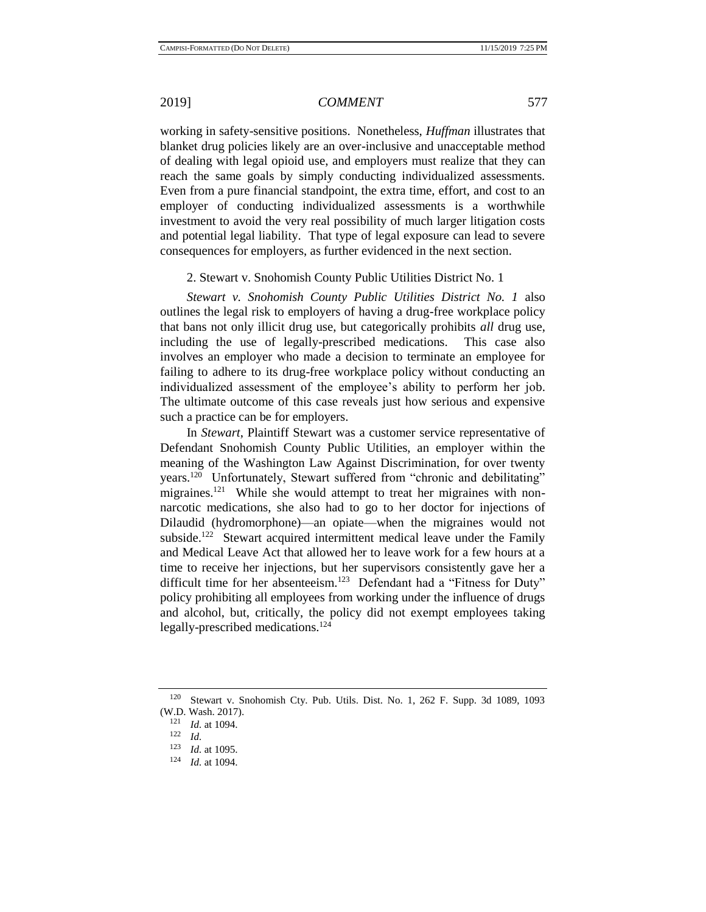working in safety-sensitive positions. Nonetheless, *Huffman* illustrates that blanket drug policies likely are an over-inclusive and unacceptable method of dealing with legal opioid use, and employers must realize that they can reach the same goals by simply conducting individualized assessments. Even from a pure financial standpoint, the extra time, effort, and cost to an employer of conducting individualized assessments is a worthwhile investment to avoid the very real possibility of much larger litigation costs and potential legal liability. That type of legal exposure can lead to severe consequences for employers, as further evidenced in the next section.

2. Stewart v. Snohomish County Public Utilities District No. 1

*Stewart v. Snohomish County Public Utilities District No. 1* also outlines the legal risk to employers of having a drug-free workplace policy that bans not only illicit drug use, but categorically prohibits *all* drug use, including the use of legally-prescribed medications. This case also involves an employer who made a decision to terminate an employee for failing to adhere to its drug-free workplace policy without conducting an individualized assessment of the employee's ability to perform her job. The ultimate outcome of this case reveals just how serious and expensive such a practice can be for employers.

In *Stewart*, Plaintiff Stewart was a customer service representative of Defendant Snohomish County Public Utilities, an employer within the meaning of the Washington Law Against Discrimination, for over twenty years.<sup>120</sup> Unfortunately, Stewart suffered from "chronic and debilitating" migraines.<sup>121</sup> While she would attempt to treat her migraines with nonnarcotic medications, she also had to go to her doctor for injections of Dilaudid (hydromorphone)—an opiate—when the migraines would not subside.<sup>122</sup> Stewart acquired intermittent medical leave under the Family and Medical Leave Act that allowed her to leave work for a few hours at a time to receive her injections, but her supervisors consistently gave her a difficult time for her absenteeism.<sup>123</sup> Defendant had a "Fitness for Duty" policy prohibiting all employees from working under the influence of drugs and alcohol, but, critically, the policy did not exempt employees taking legally-prescribed medications.<sup>124</sup>

<sup>120</sup> Stewart v. Snohomish Cty. Pub. Utils. Dist. No. 1, 262 F. Supp. 3d 1089, 1093 (W.D. Wash. 2017).

 $\frac{121}{122}$  *Id.* at 1094.

 $\frac{122}{123}$  *Id.* 

 $\frac{123}{124}$  *Id.* at 1095.

*Id.* at 1094.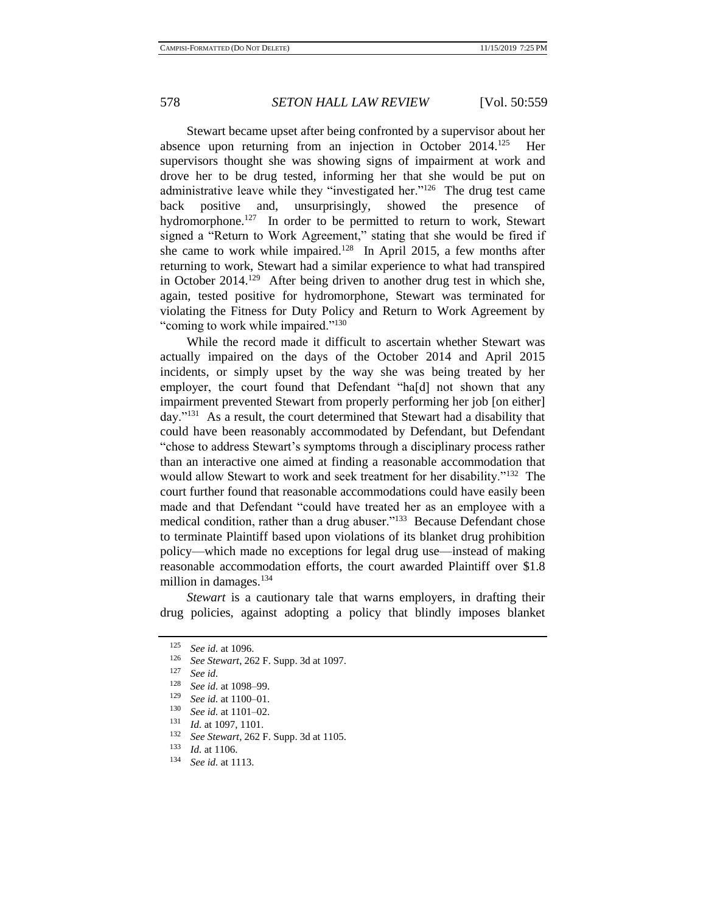Stewart became upset after being confronted by a supervisor about her absence upon returning from an injection in October  $2014$ <sup>125</sup> Her supervisors thought she was showing signs of impairment at work and drove her to be drug tested, informing her that she would be put on administrative leave while they "investigated her."<sup>126</sup> The drug test came back positive and, unsurprisingly, showed the presence of hydromorphone.<sup>127</sup> In order to be permitted to return to work, Stewart signed a "Return to Work Agreement," stating that she would be fired if she came to work while impaired.<sup>128</sup> In April 2015, a few months after returning to work, Stewart had a similar experience to what had transpired in October  $2014$ <sup>129</sup> After being driven to another drug test in which she, again, tested positive for hydromorphone, Stewart was terminated for violating the Fitness for Duty Policy and Return to Work Agreement by "coming to work while impaired."<sup>130</sup>

While the record made it difficult to ascertain whether Stewart was actually impaired on the days of the October 2014 and April 2015 incidents, or simply upset by the way she was being treated by her employer, the court found that Defendant "ha[d] not shown that any impairment prevented Stewart from properly performing her job [on either] day."<sup>131</sup> As a result, the court determined that Stewart had a disability that could have been reasonably accommodated by Defendant, but Defendant "chose to address Stewart's symptoms through a disciplinary process rather than an interactive one aimed at finding a reasonable accommodation that would allow Stewart to work and seek treatment for her disability."<sup>132</sup> The court further found that reasonable accommodations could have easily been made and that Defendant "could have treated her as an employee with a medical condition, rather than a drug abuser."<sup>133</sup> Because Defendant chose to terminate Plaintiff based upon violations of its blanket drug prohibition policy—which made no exceptions for legal drug use—instead of making reasonable accommodation efforts, the court awarded Plaintiff over \$1.8 million in damages.<sup>134</sup>

*Stewart* is a cautionary tale that warns employers, in drafting their drug policies, against adopting a policy that blindly imposes blanket

<sup>125</sup> *See id.* at 1096.

<sup>126</sup> *See Stewart*, 262 F. Supp. 3d at 1097.

<sup>127</sup> *See id.*

<sup>128</sup> *See id.* at 1098–99.

<sup>129</sup> *See id.* at 1100–01.

<sup>130</sup> *See id.* at 1101–02.

 $\frac{131}{132}$  *Id.* at 1097, 1101.

<sup>132</sup> *See Stewart*, 262 F. Supp. 3d at 1105.

 $\frac{133}{134}$  *Id.* at 1106.

<sup>134</sup> *See id.* at 1113.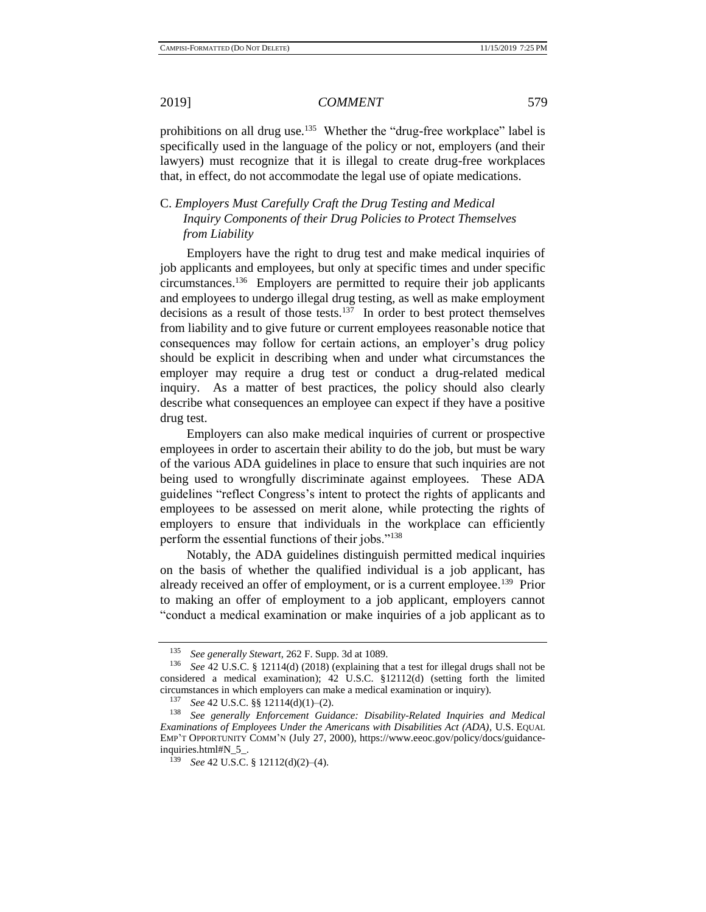prohibitions on all drug use.<sup>135</sup> Whether the "drug-free workplace" label is specifically used in the language of the policy or not, employers (and their lawyers) must recognize that it is illegal to create drug-free workplaces that, in effect, do not accommodate the legal use of opiate medications.

## C. *Employers Must Carefully Craft the Drug Testing and Medical Inquiry Components of their Drug Policies to Protect Themselves from Liability*

Employers have the right to drug test and make medical inquiries of job applicants and employees, but only at specific times and under specific circumstances.<sup>136</sup> Employers are permitted to require their job applicants and employees to undergo illegal drug testing, as well as make employment decisions as a result of those tests.<sup>137</sup> In order to best protect themselves from liability and to give future or current employees reasonable notice that consequences may follow for certain actions, an employer's drug policy should be explicit in describing when and under what circumstances the employer may require a drug test or conduct a drug-related medical inquiry. As a matter of best practices, the policy should also clearly describe what consequences an employee can expect if they have a positive drug test.

Employers can also make medical inquiries of current or prospective employees in order to ascertain their ability to do the job, but must be wary of the various ADA guidelines in place to ensure that such inquiries are not being used to wrongfully discriminate against employees. These ADA guidelines "reflect Congress's intent to protect the rights of applicants and employees to be assessed on merit alone, while protecting the rights of employers to ensure that individuals in the workplace can efficiently perform the essential functions of their jobs."<sup>138</sup>

Notably, the ADA guidelines distinguish permitted medical inquiries on the basis of whether the qualified individual is a job applicant, has already received an offer of employment, or is a current employee.<sup>139</sup> Prior to making an offer of employment to a job applicant, employers cannot "conduct a medical examination or make inquiries of a job applicant as to

<sup>135</sup> *See generally Stewart*, 262 F. Supp. 3d at 1089.

<sup>136</sup> *See* 42 U.S.C. § 12114(d) (2018) (explaining that a test for illegal drugs shall not be considered a medical examination); 42 U.S.C. §12112(d) (setting forth the limited circumstances in which employers can make a medical examination or inquiry).<br> $^{137}$  See 42 U S C 88 12114(d)(1) (2)

<sup>137</sup> *See* 42 U.S.C. §§ 12114(d)(1)–(2).

<sup>138</sup> *See generally Enforcement Guidance: Disability-Related Inquiries and Medical Examinations of Employees Under the Americans with Disabilities Act (ADA)*, U.S. EQUAL EMP'T OPPORTUNITY COMM'N (July 27, 2000), https://www.eeoc.gov/policy/docs/guidanceinquiries.html#N\_5\_.

*See* 42 U.S.C. § 12112(d)(2)–(4).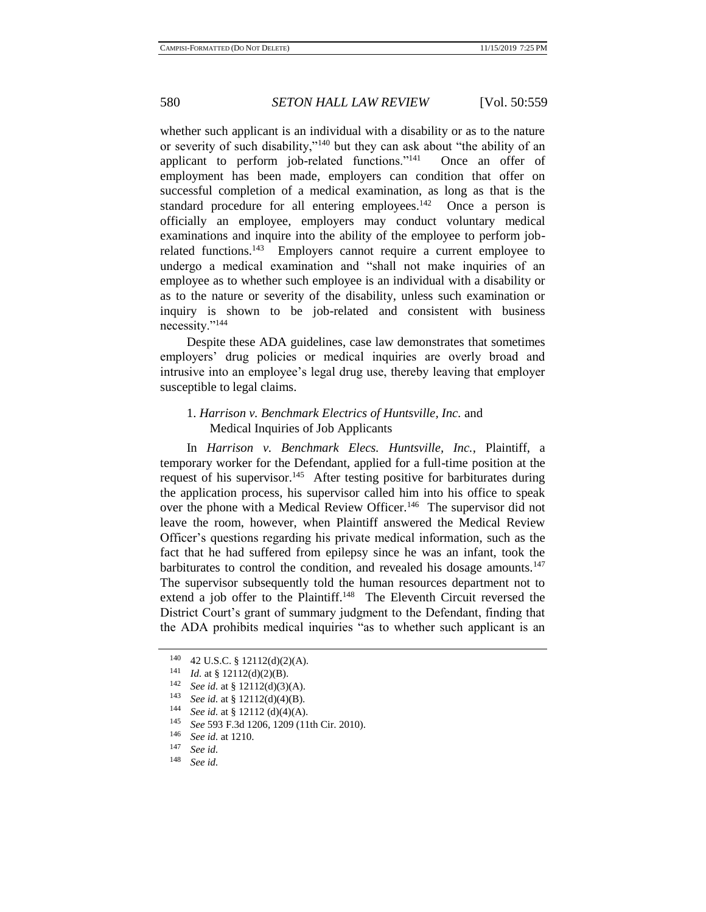whether such applicant is an individual with a disability or as to the nature or severity of such disability,"<sup>140</sup> but they can ask about "the ability of an applicant to perform job-related functions."<sup>141</sup> Once an offer of employment has been made, employers can condition that offer on successful completion of a medical examination, as long as that is the standard procedure for all entering employees.<sup>142</sup> Once a person is officially an employee, employers may conduct voluntary medical examinations and inquire into the ability of the employee to perform jobrelated functions.<sup>143</sup> Employers cannot require a current employee to undergo a medical examination and "shall not make inquiries of an employee as to whether such employee is an individual with a disability or as to the nature or severity of the disability, unless such examination or inquiry is shown to be job-related and consistent with business necessity."<sup>144</sup>

Despite these ADA guidelines, case law demonstrates that sometimes employers' drug policies or medical inquiries are overly broad and intrusive into an employee's legal drug use, thereby leaving that employer susceptible to legal claims.

## 1. *Harrison v. Benchmark Electrics of Huntsville, Inc.* and Medical Inquiries of Job Applicants

In *Harrison v. Benchmark Elecs. Huntsville, Inc.*, Plaintiff, a temporary worker for the Defendant, applied for a full-time position at the request of his supervisor.<sup>145</sup> After testing positive for barbiturates during the application process, his supervisor called him into his office to speak over the phone with a Medical Review Officer.<sup>146</sup> The supervisor did not leave the room, however, when Plaintiff answered the Medical Review Officer's questions regarding his private medical information, such as the fact that he had suffered from epilepsy since he was an infant, took the barbiturates to control the condition, and revealed his dosage amounts.<sup>147</sup> The supervisor subsequently told the human resources department not to extend a job offer to the Plaintiff.<sup>148</sup> The Eleventh Circuit reversed the District Court's grant of summary judgment to the Defendant, finding that the ADA prohibits medical inquiries "as to whether such applicant is an

<sup>&</sup>lt;sup>140</sup> 42 U.S.C. § 12112(d)(2)(A).<br><sup>141</sup>  $U_{\text{A}} \approx$  § 12112(d)(2)(D).

*Id.* at § 12112(d)(2)(B).

<sup>142</sup> *See id.* at § 12112(d)(3)(A).

<sup>143</sup> *See id.* at § 12112(d)(4)(B).

<sup>&</sup>lt;sup>144</sup> *See id.* at § 12112 (d)(4)(A).<br><sup>145</sup> *S<sub>11</sub>* 502 E 24 1206 1200 (11)

<sup>&</sup>lt;sup>145</sup> *See* 593 F.3d 1206, 1209 (11th Cir. 2010).

<sup>146</sup> *See id.* at 1210.

<sup>147</sup> *See id.*

<sup>148</sup> *See id.*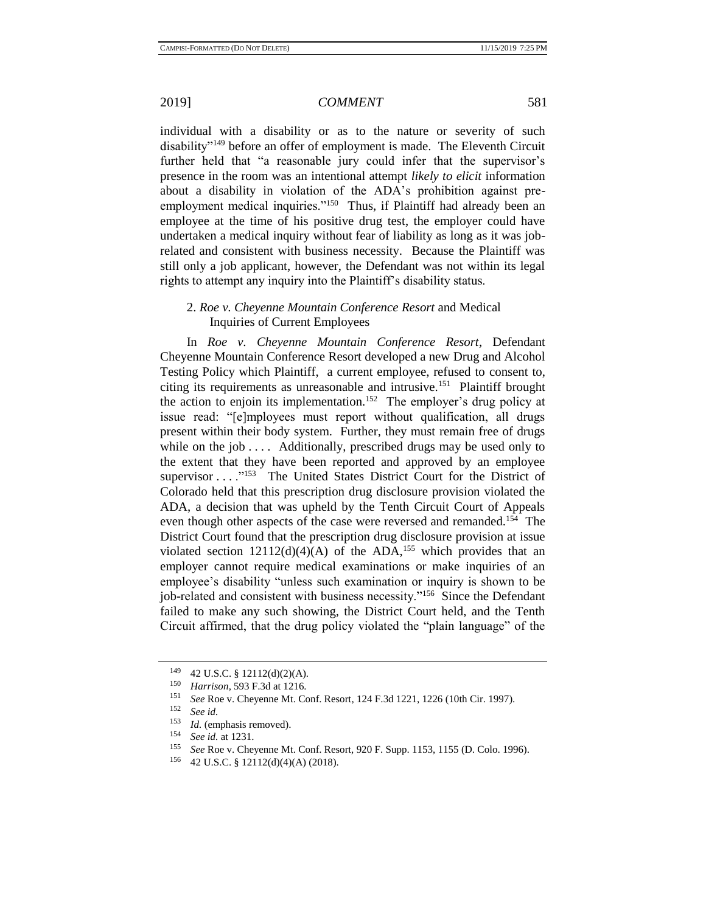individual with a disability or as to the nature or severity of such disability"<sup>149</sup> before an offer of employment is made. The Eleventh Circuit further held that "a reasonable jury could infer that the supervisor's presence in the room was an intentional attempt *likely to elicit* information about a disability in violation of the ADA's prohibition against preemployment medical inquiries."<sup>150</sup> Thus, if Plaintiff had already been an employee at the time of his positive drug test, the employer could have undertaken a medical inquiry without fear of liability as long as it was jobrelated and consistent with business necessity. Because the Plaintiff was still only a job applicant, however, the Defendant was not within its legal rights to attempt any inquiry into the Plaintiff's disability status.

## 2. *Roe v. Cheyenne Mountain Conference Resort* and Medical Inquiries of Current Employees

In *Roe v. Cheyenne Mountain Conference Resort*, Defendant Cheyenne Mountain Conference Resort developed a new Drug and Alcohol Testing Policy which Plaintiff, a current employee, refused to consent to, citing its requirements as unreasonable and intrusive.<sup>151</sup> Plaintiff brought the action to enjoin its implementation.<sup>152</sup> The employer's drug policy at issue read: "[e]mployees must report without qualification, all drugs present within their body system. Further, they must remain free of drugs while on the job . . . . Additionally, prescribed drugs may be used only to the extent that they have been reported and approved by an employee supervisor . . . . "<sup>153</sup> The United States District Court for the District of Colorado held that this prescription drug disclosure provision violated the ADA, a decision that was upheld by the Tenth Circuit Court of Appeals even though other aspects of the case were reversed and remanded.<sup>154</sup> The District Court found that the prescription drug disclosure provision at issue violated section  $12112(d)(4)(A)$  of the ADA,<sup>155</sup> which provides that an employer cannot require medical examinations or make inquiries of an employee's disability "unless such examination or inquiry is shown to be job-related and consistent with business necessity."<sup>156</sup> Since the Defendant failed to make any such showing, the District Court held, and the Tenth Circuit affirmed, that the drug policy violated the "plain language" of the

<sup>&</sup>lt;sup>149</sup> 42 U.S.C. § 12112(d)(2)(A).<br><sup>150</sup> Harrison, 593 E 3d at 1216

<sup>&</sup>lt;sup>150</sup> *Harrison*, 593 F.3d at 1216.

<sup>&</sup>lt;sup>151</sup> *See* Roe v. Cheyenne Mt. Conf. Resort, 124 F.3d 1221, 1226 (10th Cir. 1997).

<sup>152</sup> *See id.*

 $153$  *Id.* (emphasis removed).<br> $154$  See id. at 1231

<sup>154</sup> *See id.* at 1231.

<sup>&</sup>lt;sup>155</sup> *See* Roe v. Cheyenne Mt. Conf. Resort, 920 F. Supp. 1153, 1155 (D. Colo. 1996).<br><sup>156</sup> 42 J I S C & 12112(d)(4)(A) (2018)

<sup>156</sup> 42 U.S.C. § 12112(d)(4)(A) (2018).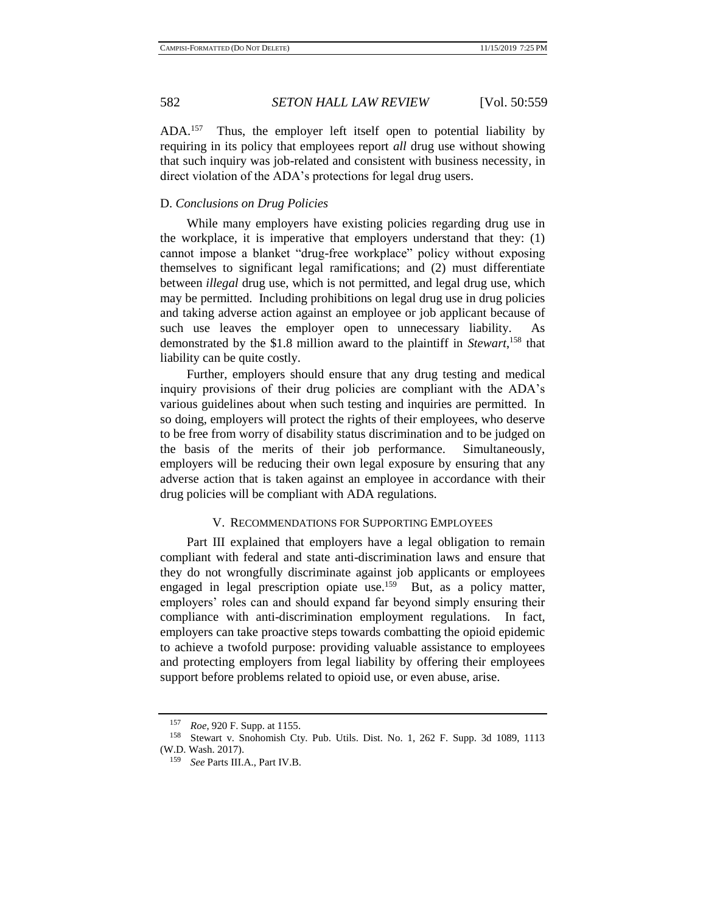ADA.<sup>157</sup> Thus, the employer left itself open to potential liability by requiring in its policy that employees report *all* drug use without showing that such inquiry was job-related and consistent with business necessity, in direct violation of the ADA's protections for legal drug users.

### D. *Conclusions on Drug Policies*

While many employers have existing policies regarding drug use in the workplace, it is imperative that employers understand that they: (1) cannot impose a blanket "drug-free workplace" policy without exposing themselves to significant legal ramifications; and (2) must differentiate between *illegal* drug use, which is not permitted, and legal drug use, which may be permitted. Including prohibitions on legal drug use in drug policies and taking adverse action against an employee or job applicant because of such use leaves the employer open to unnecessary liability. As demonstrated by the \$1.8 million award to the plaintiff in *Stewart*, <sup>158</sup> that liability can be quite costly.

Further, employers should ensure that any drug testing and medical inquiry provisions of their drug policies are compliant with the ADA's various guidelines about when such testing and inquiries are permitted. In so doing, employers will protect the rights of their employees, who deserve to be free from worry of disability status discrimination and to be judged on the basis of the merits of their job performance. Simultaneously, employers will be reducing their own legal exposure by ensuring that any adverse action that is taken against an employee in accordance with their drug policies will be compliant with ADA regulations.

### V. RECOMMENDATIONS FOR SUPPORTING EMPLOYEES

Part III explained that employers have a legal obligation to remain compliant with federal and state anti-discrimination laws and ensure that they do not wrongfully discriminate against job applicants or employees engaged in legal prescription opiate use.<sup>159</sup> But, as a policy matter, employers' roles can and should expand far beyond simply ensuring their compliance with anti-discrimination employment regulations. In fact, employers can take proactive steps towards combatting the opioid epidemic to achieve a twofold purpose: providing valuable assistance to employees and protecting employers from legal liability by offering their employees support before problems related to opioid use, or even abuse, arise.

<sup>157</sup> *Roe*, 920 F. Supp. at 1155.

<sup>158</sup> Stewart v. Snohomish Cty. Pub. Utils. Dist. No. 1, 262 F. Supp. 3d 1089, 1113 (W.D. Wash. 2017).

<sup>159</sup> *See* Parts III.A., Part IV.B.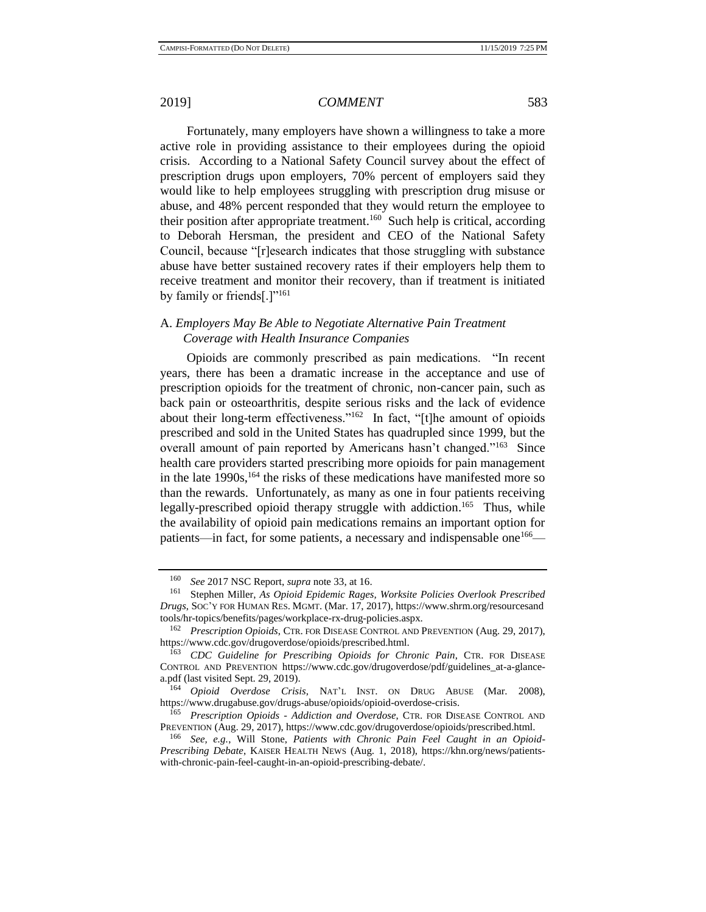Fortunately, many employers have shown a willingness to take a more active role in providing assistance to their employees during the opioid crisis. According to a National Safety Council survey about the effect of prescription drugs upon employers, 70% percent of employers said they would like to help employees struggling with prescription drug misuse or abuse, and 48% percent responded that they would return the employee to their position after appropriate treatment.<sup>160</sup> Such help is critical, according to Deborah Hersman, the president and CEO of the National Safety Council, because "[r]esearch indicates that those struggling with substance abuse have better sustained recovery rates if their employers help them to receive treatment and monitor their recovery, than if treatment is initiated by family or friends[.]"<sup>161</sup>

## A. *Employers May Be Able to Negotiate Alternative Pain Treatment Coverage with Health Insurance Companies*

Opioids are commonly prescribed as pain medications. "In recent years, there has been a dramatic increase in the acceptance and use of prescription opioids for the treatment of chronic, non-cancer pain, such as back pain or osteoarthritis, despite serious risks and the lack of evidence about their long-term effectiveness."<sup>162</sup> In fact, "[t]he amount of opioids prescribed and sold in the United States has quadrupled since 1999, but the overall amount of pain reported by Americans hasn't changed."<sup>163</sup> Since health care providers started prescribing more opioids for pain management in the late  $1990s$ ,  $^{164}$  the risks of these medications have manifested more so than the rewards. Unfortunately, as many as one in four patients receiving legally-prescribed opioid therapy struggle with addiction.<sup>165</sup> Thus, while the availability of opioid pain medications remains an important option for patients—in fact, for some patients, a necessary and indispensable one<sup>166</sup>—

<sup>160</sup> *See* 2017 NSC Report, *supra* not[e 33,](#page-5-0) at 16.

<sup>161</sup> Stephen Miller, *As Opioid Epidemic Rages, Worksite Policies Overlook Prescribed Drugs*, SOC'Y FOR HUMAN RES. MGMT. (Mar. 17, 2017), https://www.shrm.org/resourcesand tools/hr-topics/benefits/pages/workplace-rx-drug-policies.aspx.

<sup>162</sup> *Prescription Opioids*, CTR. FOR DISEASE CONTROL AND PREVENTION (Aug. 29, 2017), https://www.cdc.gov/drugoverdose/opioids/prescribed.html.

<sup>163</sup> *CDC Guideline for Prescribing Opioids for Chronic Pain*, CTR. FOR DISEASE CONTROL AND PREVENTION https://www.cdc.gov/drugoverdose/pdf/guidelines\_at-a-glancea.pdf (last visited Sept. 29, 2019).

<sup>164</sup> *Opioid Overdose Crisis*, NAT'L INST. ON DRUG ABUSE (Mar. 2008), https://www.drugabuse.gov/drugs-abuse/opioids/opioid-overdose-crisis.

<sup>165</sup> *Prescription Opioids - Addiction and Overdose*, CTR. FOR DISEASE CONTROL AND PREVENTION (Aug. 29, 2017), https://www.cdc.gov/drugoverdose/opioids/prescribed.html.

<sup>166</sup> *See, e.g.*, Will Stone, *Patients with Chronic Pain Feel Caught in an Opioid-Prescribing Debate*, KAISER HEALTH NEWS (Aug. 1, 2018), https://khn.org/news/patientswith-chronic-pain-feel-caught-in-an-opioid-prescribing-debate/.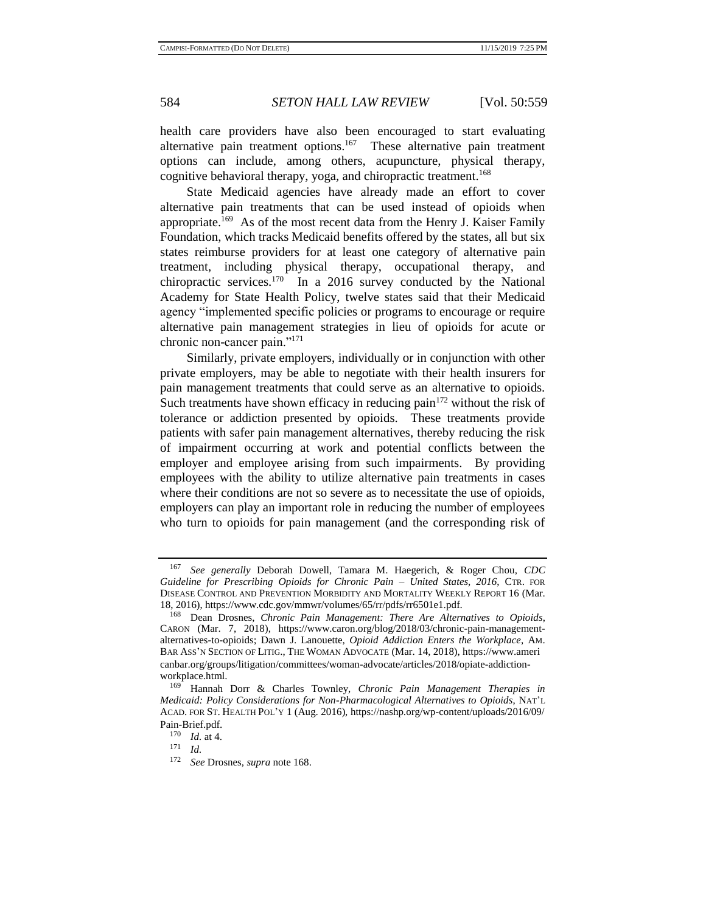<span id="page-25-0"></span>

health care providers have also been encouraged to start evaluating alternative pain treatment options.<sup>167</sup> These alternative pain treatment options can include, among others, acupuncture, physical therapy, cognitive behavioral therapy, yoga, and chiropractic treatment.<sup>168</sup>

State Medicaid agencies have already made an effort to cover alternative pain treatments that can be used instead of opioids when appropriate.<sup>169</sup> As of the most recent data from the Henry J. Kaiser Family Foundation, which tracks Medicaid benefits offered by the states, all but six states reimburse providers for at least one category of alternative pain treatment, including physical therapy, occupational therapy, and chiropractic services.<sup>170</sup> In a 2016 survey conducted by the National Academy for State Health Policy, twelve states said that their Medicaid agency "implemented specific policies or programs to encourage or require alternative pain management strategies in lieu of opioids for acute or chronic non-cancer pain."<sup>171</sup>

Similarly, private employers, individually or in conjunction with other private employers, may be able to negotiate with their health insurers for pain management treatments that could serve as an alternative to opioids. Such treatments have shown efficacy in reducing pain<sup>172</sup> without the risk of tolerance or addiction presented by opioids. These treatments provide patients with safer pain management alternatives, thereby reducing the risk of impairment occurring at work and potential conflicts between the employer and employee arising from such impairments. By providing employees with the ability to utilize alternative pain treatments in cases where their conditions are not so severe as to necessitate the use of opioids, employers can play an important role in reducing the number of employees who turn to opioids for pain management (and the corresponding risk of

<sup>167</sup> *See generally* Deborah Dowell, Tamara M. Haegerich, & Roger Chou, *CDC Guideline for Prescribing Opioids for Chronic Pain – United States, 2016*, CTR. FOR DISEASE CONTROL AND PREVENTION MORBIDITY AND MORTALITY WEEKLY REPORT 16 (Mar. 18, 2016), https://www.cdc.gov/mmwr/volumes/65/rr/pdfs/rr6501e1.pdf.

<sup>168</sup> Dean Drosnes, *Chronic Pain Management: There Are Alternatives to Opioids*, CARON (Mar. 7, 2018), https://www.caron.org/blog/2018/03/chronic-pain-managementalternatives-to-opioids; Dawn J. Lanouette, *Opioid Addiction Enters the Workplace*, AM. BAR ASS'N SECTION OF LITIG., THE WOMAN ADVOCATE (Mar. 14, 2018), https://www.ameri canbar.org/groups/litigation/committees/woman-advocate/articles/2018/opiate-addictionworkplace.html.<br> $^{169}$  Hannah

<sup>169</sup> Hannah Dorr & Charles Townley, *Chronic Pain Management Therapies in Medicaid: Policy Considerations for Non-Pharmacological Alternatives to Opioids*, NAT'L ACAD. FOR ST. HEALTH POL'Y 1 (Aug. 2016), https://nashp.org/wp-content/uploads/2016/09/ Pain-Brief.pdf.

 $\frac{170}{171}$  *Id.* at 4.

 $\frac{171}{172}$  *Id.* 

<sup>172</sup> *See* Drosnes, *supra* not[e 168.](#page-25-0)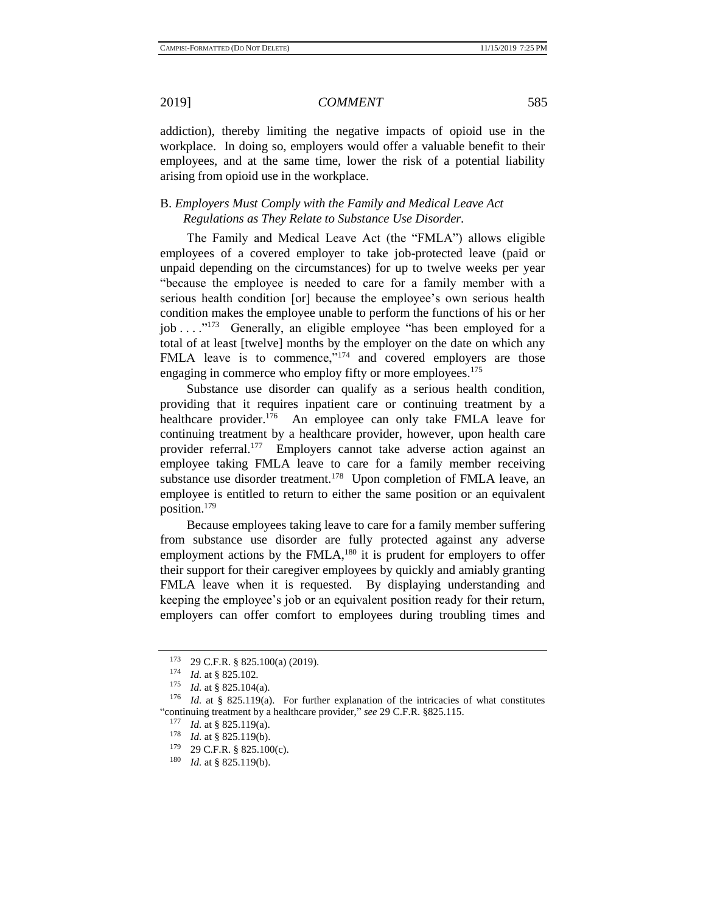addiction), thereby limiting the negative impacts of opioid use in the workplace. In doing so, employers would offer a valuable benefit to their employees, and at the same time, lower the risk of a potential liability arising from opioid use in the workplace.

## B. *Employers Must Comply with the Family and Medical Leave Act Regulations as They Relate to Substance Use Disorder.*

The Family and Medical Leave Act (the "FMLA") allows eligible employees of a covered employer to take job-protected leave (paid or unpaid depending on the circumstances) for up to twelve weeks per year "because the employee is needed to care for a family member with a serious health condition [or] because the employee's own serious health condition makes the employee unable to perform the functions of his or her job . . . .<sup>"173</sup> Generally, an eligible employee "has been employed for a total of at least [twelve] months by the employer on the date on which any FMLA leave is to commence,"<sup>174</sup> and covered employers are those engaging in commerce who employ fifty or more employees.<sup>175</sup>

Substance use disorder can qualify as a serious health condition, providing that it requires inpatient care or continuing treatment by a healthcare provider.<sup>176</sup> An employee can only take FMLA leave for continuing treatment by a healthcare provider, however, upon health care provider referral.<sup>177</sup> Employers cannot take adverse action against an employee taking FMLA leave to care for a family member receiving substance use disorder treatment.<sup>178</sup> Upon completion of FMLA leave, an employee is entitled to return to either the same position or an equivalent position.<sup>179</sup>

Because employees taking leave to care for a family member suffering from substance use disorder are fully protected against any adverse employment actions by the  $FMLA$ ,<sup>180</sup> it is prudent for employers to offer their support for their caregiver employees by quickly and amiably granting FMLA leave when it is requested. By displaying understanding and keeping the employee's job or an equivalent position ready for their return, employers can offer comfort to employees during troubling times and

<sup>173</sup> 29 C.F.R. § 825.100(a) (2019).

 $\frac{174}{175}$  *Id.* at § 825.102.

*Id.* at § 825.104(a).

<sup>&</sup>lt;sup>176</sup> *Id.* at § 825.119(a). For further explanation of the intricacies of what constitutes "continuing treatment by a healthcare provider," *see* 29 C.F.R. §825.115.

<sup>177</sup> *Id.* at § 825.119(a).

<sup>&</sup>lt;sup>178</sup> *Id.* at § 825.119(b).<br><sup>179</sup> 29 C E R § 825.100

<sup>29</sup> C.F.R. § 825.100(c).

<sup>180</sup> *Id.* at § 825.119(b).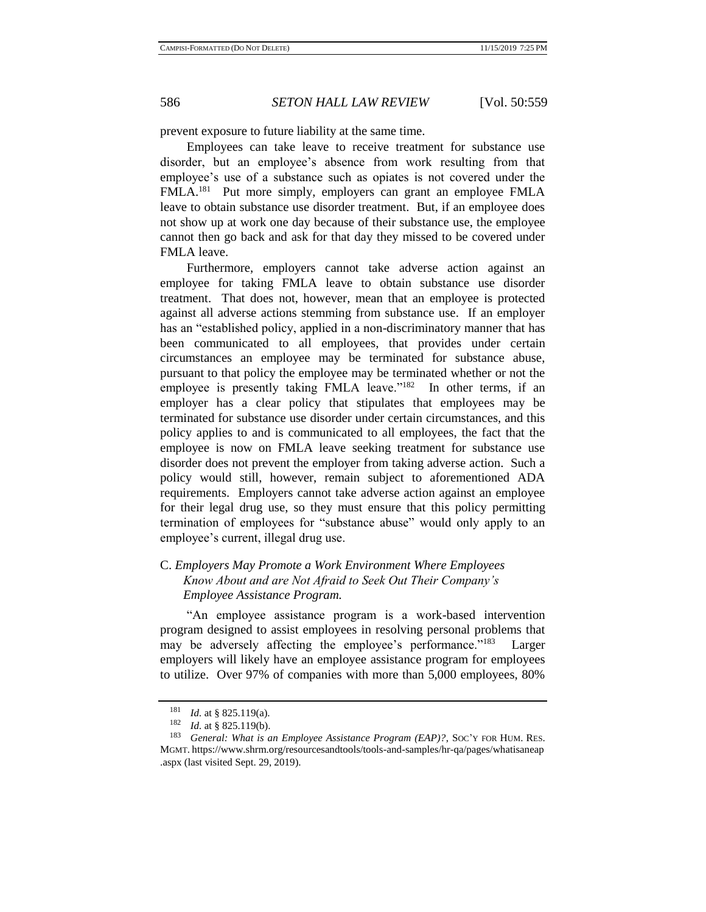prevent exposure to future liability at the same time.

Employees can take leave to receive treatment for substance use disorder, but an employee's absence from work resulting from that employee's use of a substance such as opiates is not covered under the FMLA.<sup>181</sup> Put more simply, employers can grant an employee FMLA leave to obtain substance use disorder treatment. But, if an employee does not show up at work one day because of their substance use, the employee cannot then go back and ask for that day they missed to be covered under FMLA leave.

Furthermore, employers cannot take adverse action against an employee for taking FMLA leave to obtain substance use disorder treatment. That does not, however, mean that an employee is protected against all adverse actions stemming from substance use. If an employer has an "established policy, applied in a non-discriminatory manner that has been communicated to all employees, that provides under certain circumstances an employee may be terminated for substance abuse, pursuant to that policy the employee may be terminated whether or not the employee is presently taking FMLA leave."<sup>182</sup> In other terms, if an employer has a clear policy that stipulates that employees may be terminated for substance use disorder under certain circumstances, and this policy applies to and is communicated to all employees, the fact that the employee is now on FMLA leave seeking treatment for substance use disorder does not prevent the employer from taking adverse action. Such a policy would still, however, remain subject to aforementioned ADA requirements. Employers cannot take adverse action against an employee for their legal drug use, so they must ensure that this policy permitting termination of employees for "substance abuse" would only apply to an employee's current, illegal drug use.

## C. *Employers May Promote a Work Environment Where Employees Know About and are Not Afraid to Seek Out Their Company's Employee Assistance Program.*

"An employee assistance program is a work-based intervention program designed to assist employees in resolving personal problems that may be adversely affecting the employee's performance."<sup>183</sup> Larger employers will likely have an employee assistance program for employees to utilize. Over 97% of companies with more than 5,000 employees, 80%

<sup>&</sup>lt;sup>181</sup> *Id.* at § 825.119(a).<br><sup>182</sup> *Id.* at § 925.110(b).

<sup>&</sup>lt;sup>182</sup> *Id.* at § 825.119(b).<br><sup>183</sup> *Congral*: What is a

<sup>183</sup> *General: What is an Employee Assistance Program (EAP)?*, SOC'Y FOR HUM. RES. MGMT. https://www.shrm.org/resourcesandtools/tools-and-samples/hr-qa/pages/whatisaneap .aspx (last visited Sept. 29, 2019).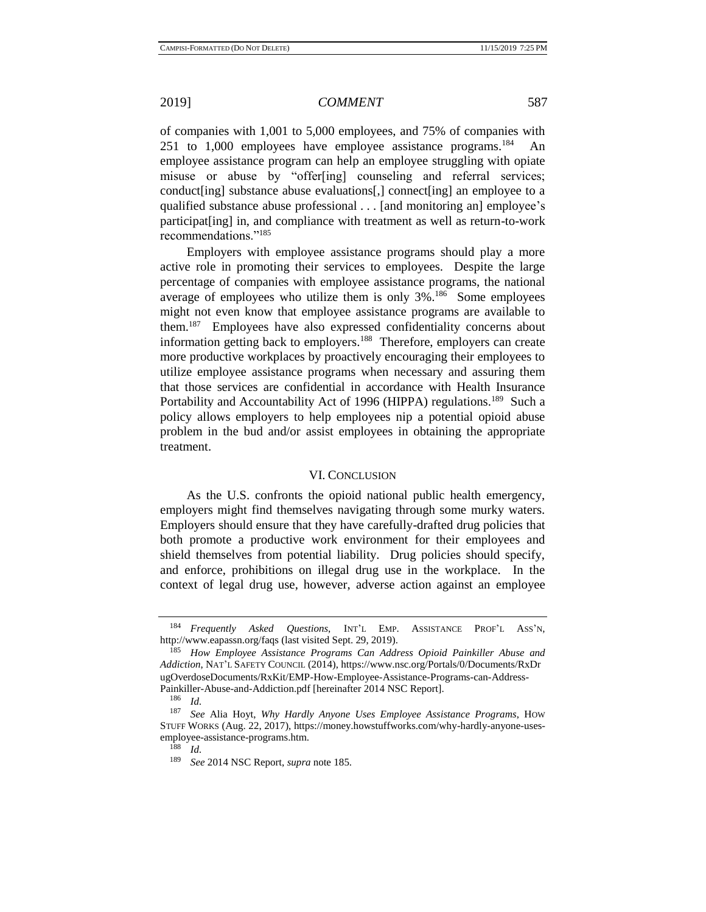of companies with 1,001 to 5,000 employees, and 75% of companies with 251 to  $1,000$  employees have employee assistance programs.<sup>184</sup> An employee assistance program can help an employee struggling with opiate misuse or abuse by "offer[ing] counseling and referral services; conduct[ing] substance abuse evaluations[,] connect[ing] an employee to a qualified substance abuse professional . . . [and monitoring an] employee's participat[ing] in, and compliance with treatment as well as return-to-work recommendations."<sup>185</sup>

<span id="page-28-0"></span>Employers with employee assistance programs should play a more active role in promoting their services to employees. Despite the large percentage of companies with employee assistance programs, the national average of employees who utilize them is only 3%.<sup>186</sup> Some employees might not even know that employee assistance programs are available to them.<sup>187</sup> Employees have also expressed confidentiality concerns about information getting back to employers.<sup>188</sup> Therefore, employers can create more productive workplaces by proactively encouraging their employees to utilize employee assistance programs when necessary and assuring them that those services are confidential in accordance with Health Insurance Portability and Accountability Act of 1996 (HIPPA) regulations.<sup>189</sup> Such a policy allows employers to help employees nip a potential opioid abuse problem in the bud and/or assist employees in obtaining the appropriate treatment.

### VI. CONCLUSION

As the U.S. confronts the opioid national public health emergency, employers might find themselves navigating through some murky waters. Employers should ensure that they have carefully-drafted drug policies that both promote a productive work environment for their employees and shield themselves from potential liability. Drug policies should specify, and enforce, prohibitions on illegal drug use in the workplace. In the context of legal drug use, however, adverse action against an employee

<sup>184</sup> *Frequently Asked Questions*, INT'L EMP. ASSISTANCE PROF'L ASS'N, http://www.eapassn.org/faqs (last visited Sept. 29, 2019).

<sup>185</sup> *How Employee Assistance Programs Can Address Opioid Painkiller Abuse and Addiction*, NAT'L SAFETY COUNCIL (2014), https://www.nsc.org/Portals/0/Documents/RxDr ugOverdoseDocuments/RxKit/EMP-How-Employee-Assistance-Programs-can-Address-Painkiller-Abuse-and-Addiction.pdf [hereinafter 2014 NSC Report].

 $\frac{186}{187}$  *Id.* 

<sup>187</sup> *See* Alia Hoyt, *Why Hardly Anyone Uses Employee Assistance Programs*, HOW STUFF WORKS (Aug. 22, 2017), https://money.howstuffworks.com/why-hardly-anyone-usesemployee-assistance-programs.htm.

 $\frac{188}{189}$  *Id.* 

<sup>189</sup> *See* 2014 NSC Report, *supra* not[e 185.](#page-28-0)